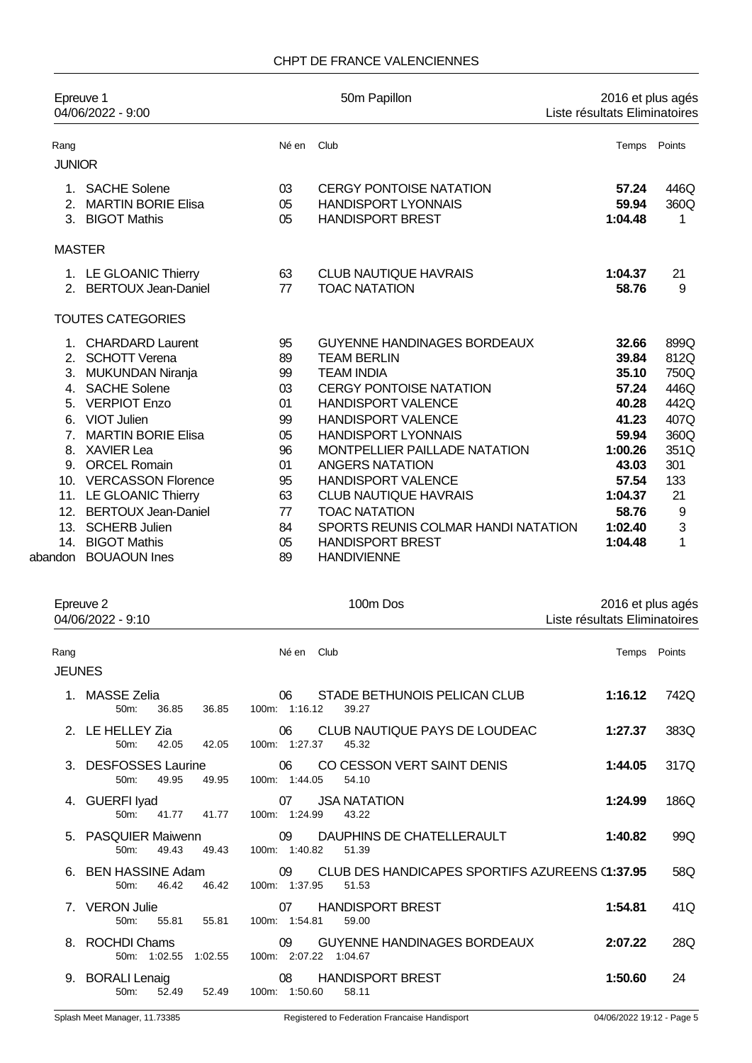|                | Epreuve 1<br>04/06/2022 - 9:00 |       | 50m Papillon                         | 2016 et plus agés<br>Liste résultats Eliminatoires |        |
|----------------|--------------------------------|-------|--------------------------------------|----------------------------------------------------|--------|
| Rang           |                                | Né en | Club                                 | Temps                                              | Points |
| <b>JUNIOR</b>  |                                |       |                                      |                                                    |        |
| 1              | <b>SACHE Solene</b>            | 03    | <b>CERGY PONTOISE NATATION</b>       | 57.24                                              | 446Q   |
| 2 <sub>1</sub> | <b>MARTIN BORIE Elisa</b>      | 05    | <b>HANDISPORT LYONNAIS</b>           | 59.94                                              | 360Q   |
|                | 3. BIGOT Mathis                | 05    | <b>HANDISPORT BREST</b>              | 1:04.48                                            | 1      |
|                | <b>MASTER</b>                  |       |                                      |                                                    |        |
|                | 1. LE GLOANIC Thierry          | 63    | <b>CLUB NAUTIQUE HAVRAIS</b>         | 1:04.37                                            | 21     |
| 2 <sup>1</sup> | <b>BERTOUX Jean-Daniel</b>     | 77    | <b>TOAC NATATION</b>                 | 58.76                                              | 9      |
|                | <b>TOUTES CATEGORIES</b>       |       |                                      |                                                    |        |
|                | 1. CHARDARD Laurent            | 95    | <b>GUYENNE HANDINAGES BORDEAUX</b>   | 32.66                                              | 899Q   |
| 2.             | <b>SCHOTT Verena</b>           | 89    | <b>TEAM BERLIN</b>                   | 39.84                                              | 812Q   |
| 3.             | <b>MUKUNDAN Niranja</b>        | 99    | <b>TEAM INDIA</b>                    | 35.10                                              | 750Q   |
|                | 4. SACHE Solene                | 03    | <b>CERGY PONTOISE NATATION</b>       | 57.24                                              | 446Q   |
| 5.             | <b>VERPIOT Enzo</b>            | 01    | <b>HANDISPORT VALENCE</b>            | 40.28                                              | 442Q   |
| 6.             | <b>VIOT Julien</b>             | 99    | <b>HANDISPORT VALENCE</b>            | 41.23                                              | 407Q   |
| $\overline{7}$ | <b>MARTIN BORIE Elisa</b>      | 05    | <b>HANDISPORT LYONNAIS</b>           | 59.94                                              | 360Q   |
| 8.             | <b>XAVIER Lea</b>              | 96    | <b>MONTPELLIER PAILLADE NATATION</b> | 1:00.26                                            | 351Q   |
|                | 9. ORCEL Romain                | 01    | <b>ANGERS NATATION</b>               | 43.03                                              | 301    |
|                | 10. VERCASSON Florence         | 95    | <b>HANDISPORT VALENCE</b>            | 57.54                                              | 133    |
|                | 11. LE GLOANIC Thierry         | 63    | <b>CLUB NAUTIQUE HAVRAIS</b>         | 1:04.37                                            | 21     |
| 12.            | <b>BERTOUX Jean-Daniel</b>     | 77    | <b>TOAC NATATION</b>                 | 58.76                                              | 9      |
| 13.            | <b>SCHERB Julien</b>           | 84    | SPORTS REUNIS COLMAR HANDI NATATION  | 1:02.40                                            | 3      |
| 14.            | <b>BIGOT Mathis</b>            | 05    | <b>HANDISPORT BREST</b>              | 1:04.48                                            | 1      |
|                | abandon BOUAOUN Ines           | 89    | <b>HANDIVIENNE</b>                   |                                                    |        |

| Epreuve 2<br>04/06/2022 - 9:10            |                | 100m Dos                                                                       | 2016 et plus agés<br>Liste résultats Eliminatoires |  |
|-------------------------------------------|----------------|--------------------------------------------------------------------------------|----------------------------------------------------|--|
| Rang<br><b>JEUNES</b>                     |                | Né en Club                                                                     | Temps Points                                       |  |
| 1. MASSE Zelia<br>50 <sub>m</sub> :       | 36.85<br>36.85 | STADE BETHUNOIS PELICAN CLUB<br>06<br>100m: 1:16.12<br>39.27                   | 1:16.12<br>742Q                                    |  |
| 2. LE HELLEY Zia<br>$50m$ :               | 42.05<br>42.05 | CLUB NAUTIQUE PAYS DE LOUDEAC<br>06<br>100m: 1:27.37<br>45.32                  | 383Q<br>1:27.37                                    |  |
| 3. DESFOSSES Laurine<br>$50m$ :           | 49.95<br>49.95 | CO CESSON VERT SAINT DENIS<br>06<br>100m: 1:44.05<br>54.10                     | 317Q<br>1:44.05                                    |  |
| 4. GUERFI Iyad<br>$50m$ :                 | 41.77<br>41.77 | 07<br><b>JSA NATATION</b><br>100m: 1:24.99<br>43.22                            | 186Q<br>1:24.99                                    |  |
| 5. PASQUIER Maiwenn<br>50m:               | 49.43<br>49.43 | 09<br>DAUPHINS DE CHATELLERAULT<br>100m: 1:40.82<br>51.39                      | 1:40.82<br>99Q                                     |  |
| 6. BEN HASSINE Adam<br>$50m$ :            | 46.42<br>46.42 | CLUB DES HANDICAPES SPORTIFS AZUREENS (1:37.95<br>09<br>100m: 1:37.95<br>51.53 | 58Q                                                |  |
| <b>VERON Julie</b><br>$7^{\circ}$<br>50m: | 55.81<br>55.81 | <b>HANDISPORT BREST</b><br>07<br>100m: 1:54.81<br>59.00                        | 1:54.81<br>41Q                                     |  |
| <b>ROCHDI Chams</b><br>8.<br>50m: 1:02.55 | 1:02.55        | 09<br><b>GUYENNE HANDINAGES BORDEAUX</b><br>100m: 2:07.22 1:04.67              | 2:07.22<br>28Q                                     |  |
| <b>BORALI Lenaig</b><br>9.<br>$50m$ :     | 52.49<br>52.49 | <b>HANDISPORT BREST</b><br>08<br>100m: 1:50.60<br>58.11                        | 1:50.60<br>24                                      |  |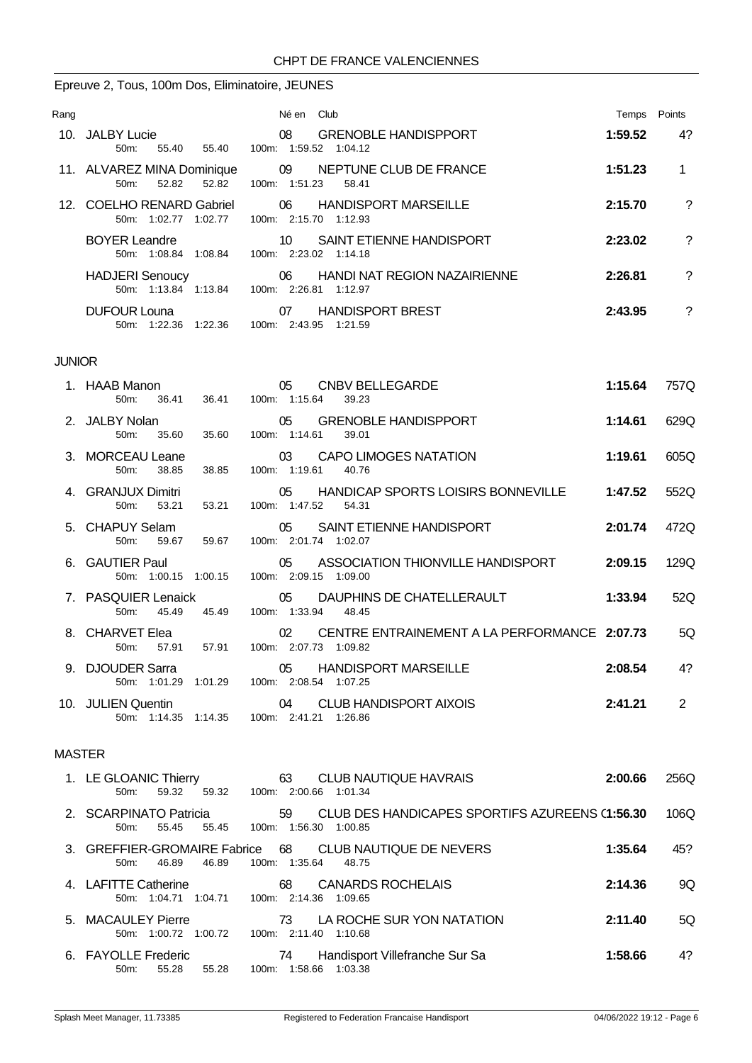# Epreuve 2, Tous, 100m Dos, Eliminatoire, JEUNES

| Rang |                                                            | Né en Club                                                            | Temps   | Points |
|------|------------------------------------------------------------|-----------------------------------------------------------------------|---------|--------|
|      | 10. JALBY Lucie<br>$50m$ :<br>55.40<br>55.40               | <b>GRENOBLE HANDISPPORT</b><br>08<br>100m: 1:59.52 1:04.12            | 1:59.52 | 4?     |
|      | 11. ALVAREZ MINA Dominique<br>52.82<br>$50m$ :<br>52.82    | 09<br>NEPTUNE CLUB DE FRANCE<br>100m: 1:51.23<br>58.41                | 1:51.23 |        |
|      | 12. COELHO RENARD Gabriel<br>1:02.77<br>1:02.77<br>$50m$ : | <b>HANDISPORT MARSEILLE</b><br>06<br>100m: 2:15.70 1:12.93            | 2:15.70 | ?      |
|      | <b>BOYER Leandre</b><br>50m: 1:08.84 1:08.84               | SAINT ETIENNE HANDISPORT<br>10<br>100m: 2:23.02 1:14.18               | 2:23.02 | ?      |
|      | <b>HADJERI</b> Senoucy<br>50m 1:13.84 1:13.84              | <b>HANDI NAT REGION NAZAIRIENNE</b><br>06<br>100m: 2:26.81<br>1:12.97 | 2:26.81 | ?      |
|      | <b>DUFOUR Louna</b><br>$50m$ :<br>1:22.36<br>1:22.36       | <b>HANDISPORT BREST</b><br>07<br>100m: 2:43.95<br>1:21.59             | 2:43.95 | ?      |

#### JUNIOR

|               | 1. HAAB Manon<br>$50m$ :             | 36.41                                      |  | 36.41 100m: 1:15.64         | <b>CNBV BELLEGARDE</b><br>39.23                 | 1:15.64 | 757Q |  |
|---------------|--------------------------------------|--------------------------------------------|--|-----------------------------|-------------------------------------------------|---------|------|--|
|               | 2. JALBY Nolan<br>50m: 35.60         | 35.60                                      |  | 100m: 1:14.61               | 05 GRENOBLE HANDISPPORT<br>39.01                | 1:14.61 | 629Q |  |
|               | 3. MORCEAU Leane<br>38.85<br>$50m$ : | 38.85                                      |  | 100m: 1:19.61 40.76         | 03 CAPO LIMOGES NATATION                        | 1:19.61 | 605Q |  |
|               | 4. GRANJUX Dimitri<br>50m: 53.21     |                                            |  | 53.21 100m: 1:47.52 54.31   | 05 HANDICAP SPORTS LOISIRS BONNEVILLE 1:47.52   |         | 552Q |  |
|               | 5. CHAPUY Selam<br>50 <sub>m</sub> : | 59.67 59.67 100m: 2:01.74 1:02.07          |  |                             | 05 SAINT ETIENNE HANDISPORT                     | 2:01.74 | 472Q |  |
|               | 6. GAUTIER Paul                      | 50m: 1:00.15 1:00.15                       |  | 100m: 2:09.15 1:09.00       | 05         ASSOCIATION THIONVILLE HANDISPORT    | 2:09.15 | 129Q |  |
|               | 7. PASQUIER Lenaick<br>50m:<br>45.49 | 45.49 100m: 1:33.94 48.45                  |  |                             | 05 DAUPHINS DE CHATELLERAULT                    | 1:33.94 | 52Q  |  |
|               | 8. CHARVET Elea<br>50m: 57.91        |                                            |  | 57.91 100m: 2:07.73 1:09.82 | 02 CENTRE ENTRAINEMENT A LA PERFORMANCE 2:07.73 |         | 5Q   |  |
|               | 9. DJOUDER Sarra                     | 50m: 1:01.29 1:01.29 100m: 2:08.54 1:07.25 |  |                             | 05 HANDISPORT MARSEILLE                         | 2:08.54 | 4?   |  |
|               |                                      | 50m: 1:14.35 1:14.35 100m: 2:41.21 1:26.86 |  |                             |                                                 | 2:41.21 | 2    |  |
| <b>MASTER</b> |                                      |                                            |  |                             |                                                 |         |      |  |

| 1. LE GLOANIC Thierry<br>59.32<br>59.32<br>50m   | 63<br>CLUB NAUTIQUE HAVRAIS<br>100m: 2:00.66 1:01.34                              | 2:00.66 | 256Q |
|--------------------------------------------------|-----------------------------------------------------------------------------------|---------|------|
| 2. SCARPINATO Patricia<br>55.45<br>55.45<br>50m: | CLUB DES HANDICAPES SPORTIFS AZUREENS (1:56.30<br>59<br>100m: 1:56.30 1:00.85     |         | 106Q |
| 46.89<br>46.89<br>50m:                           | 3. GREFFIER-GROMAIRE Fabrice 68 CLUB NAUTIQUE DE NEVERS<br>100m: 1:35.64<br>48.75 | 1:35.64 | 45?  |
| 4. LAFITTE Catherine<br>50m: 1:04.71 1:04.71     | <b>CANARDS ROCHELAIS</b><br>68<br>100m: 2:14.36 1:09.65                           | 2:14.36 | 9Q   |
| 5. MACAULEY Pierre<br>50m: 1:00.72 1:00.72       | LA ROCHE SUR YON NATATION<br>73<br>100m: 2:11.40 1:10.68                          | 2:11.40 | 5Ο   |
| 6. FAYOLLE Frederic<br>55.28<br>55.28<br>50m     | Handisport Villefranche Sur Sa<br>74<br>100m: 1:58.66 1:03.38                     | 1:58.66 | 4?   |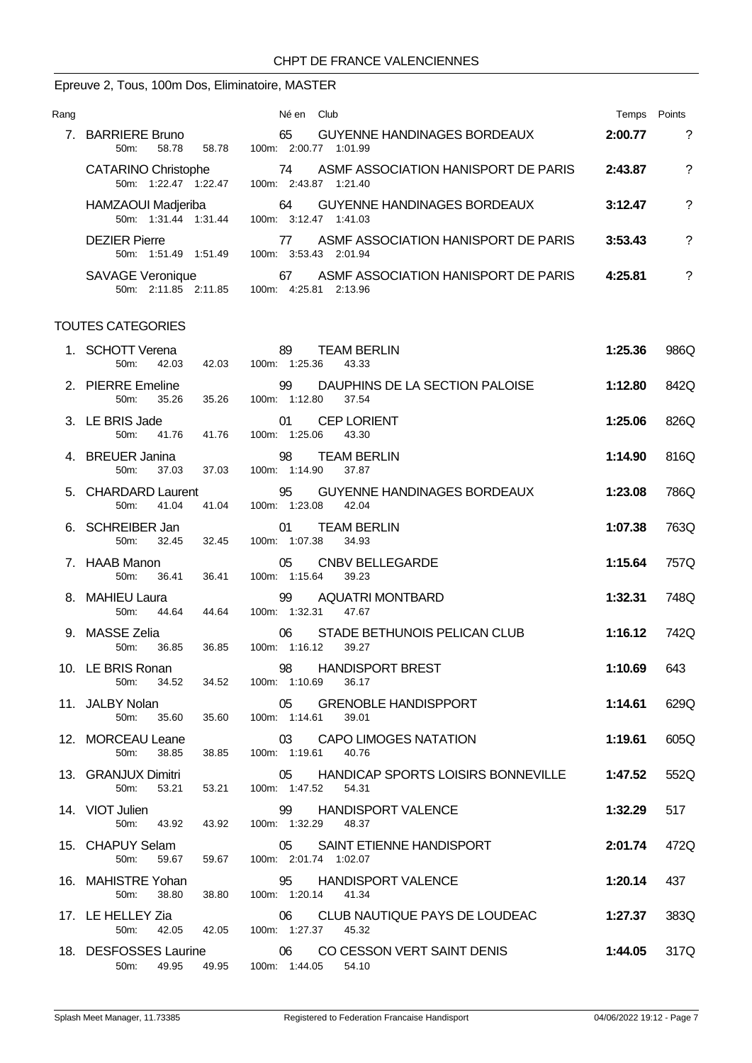# Epreuve 2, Tous, 100m Dos, Eliminatoire, MASTER

| Rang |                                                                | Club<br>Né en                                                      | Temps   | Points |
|------|----------------------------------------------------------------|--------------------------------------------------------------------|---------|--------|
|      | <b>BARRIERE Bruno</b><br>$50m$ :<br>58.78<br>58.78<br>$100m$ : | <b>GUYENNE HANDINAGES BORDEAUX</b><br>65<br>2:00.77<br>1:01.99     | 2:00.77 | ?      |
|      | <b>CATARINO Christophe</b><br>50m: 1:22.47 1:22.47             | ASMF ASSOCIATION HANISPORT DE PARIS<br>74<br>100m: 2:43.87 1:21.40 | 2:43.87 | ?      |
|      | HAMZAOUI Madjeriba<br>50m: 1:31.44 1:31.44                     | <b>GUYENNE HANDINAGES BORDEAUX</b><br>64<br>100m: 3:12.47 1:41.03  | 3:12.47 | ?      |
|      | <b>DEZIER Pierre</b><br>50m: 1:51.49<br>1:51.49<br>100m:       | ASME ASSOCIATION HANISPORT DE PARIS<br>77<br>3:53.43 2:01.94       | 3:53.43 | ?      |
|      | <b>SAVAGE Veronique</b><br>50m: 2:11.85 2:11.85<br>$100m$ :    | ASME ASSOCIATION HANISPORT DE PARIS<br>67<br>2:13.96<br>4:25.81    | 4:25.81 | ?      |

| 1. SCHOTT Verena<br>50m:<br>42.03               | 89<br>42.03 100m: 1:25.36                | <b>TEAM BERLIN</b><br>43.33                               | 1:25.36 | 986Q |
|-------------------------------------------------|------------------------------------------|-----------------------------------------------------------|---------|------|
| 2. PIERRE Emeline<br>50 <sub>m</sub> :<br>35.26 | 99<br>100m: 1:12.80<br>35.26             | DAUPHINS DE LA SECTION PALOISE<br>37.54                   | 1:12.80 | 842Q |
| 3. LE BRIS Jade<br>50m:                         | 01<br>41.76  41.76  100m: 1:25.06  43.30 | <b>CEP LORIENT</b>                                        | 1:25.06 | 826Q |
| 4. BREUER Janina<br>37.03<br>50 <sub>m</sub>    | 37.03  100m: 1:14.90                     | 98 TEAM BERLIN<br>37.87                                   | 1:14.90 | 816Q |
| 5. CHARDARD Laurent<br>50m: 41.04               | 95 GUYENNI<br>41.04 100m: 1:23.08 42.04  | 95 GUYENNE HANDINAGES BORDEAUX                            | 1:23.08 | 786Q |
| 6. SCHREIBER Jan<br>50m:                        | 32.45 32.45 100m: 1:07.38 34.93          | 01 TEAM BERLIN                                            | 1:07.38 | 763Q |
| 7. HAAB Manon<br>50m:<br>36.41                  | 36.41 100m: 1:15.64 39.23                | 05 CNBV BELLEGARDE                                        | 1:15.64 | 757Q |
| 8. MAHIEU Laura<br>50 <sub>m</sub> :<br>44.64   | 44.64                                    | 99 AQUATRI MONTBARD<br>100m: 1:32.31 47.67                | 1:32.31 | 748Q |
| 9. MASSE Zelia<br>36.85<br>50 <sub>m</sub> :    | 36.85                                    | 06 STADE BETHUNOIS PELICAN CLUB<br>100m: 1:16.12<br>39.27 | 1:16.12 | 742Q |
| 10. LE BRIS Ronan<br>50m:<br>34.52              | 34.52<br>100m: 1:10.69                   | 98 HANDISPORT BREST<br>36.17                              | 1:10.69 | 643  |
| 11. JALBY Nolan<br>50m:<br>35.60                | 05<br>35.60                              | <b>GRENOBLE HANDISPPORT</b><br>100m: 1:14.61 39.01        | 1:14.61 | 629Q |
| 12. MORCEAU Leane<br>50m:<br>38.85              | 03<br>38.85                              | <b>CAPO LIMOGES NATATION</b><br>100m: 1:19.61 40.76       | 1:19.61 | 605Q |
| 13. GRANJUX Dimitri<br>50m:<br>53.21            | 05<br>53.21                              | HANDICAP SPORTS LOISIRS BONNEVILLE<br>100m: 1:47.52 54.31 | 1:47.52 | 552Q |
| 14. VIOT Julien<br>43.92<br>50 <sub>m</sub>     | 99<br>43.92                              | <b>HANDISPORT VALENCE</b><br>100m: 1:32.29 48.37          | 1:32.29 | 517  |
| 15. CHAPUY Selam<br>50m:<br>59.67               | 59.67  100m: 2:01.74  1:02.07            | 05 SAINT ETIENNE HANDISPORT                               | 2:01.74 | 472Q |
| 16. MAHISTRE Yohan<br>50m:<br>38.80             | 38.80                                    | 95 HANDISPORT VALENCE<br>100m: 1:20.14 41.34              | 1:20.14 | 437  |
| 17. LE HELLEY Zia<br>42.05<br>50 <sub>m</sub> : | 06<br>42.05                              | CLUB NAUTIQUE PAYS DE LOUDEAC<br>100m: 1:27.37 45.32      | 1:27.37 | 383Q |
| 18. DESFOSSES Laurine<br>50m: 49.95             | 06<br>49.95                              | CO CESSON VERT SAINT DENIS<br>100m: 1:44.05 54.10         | 1:44.05 | 317Q |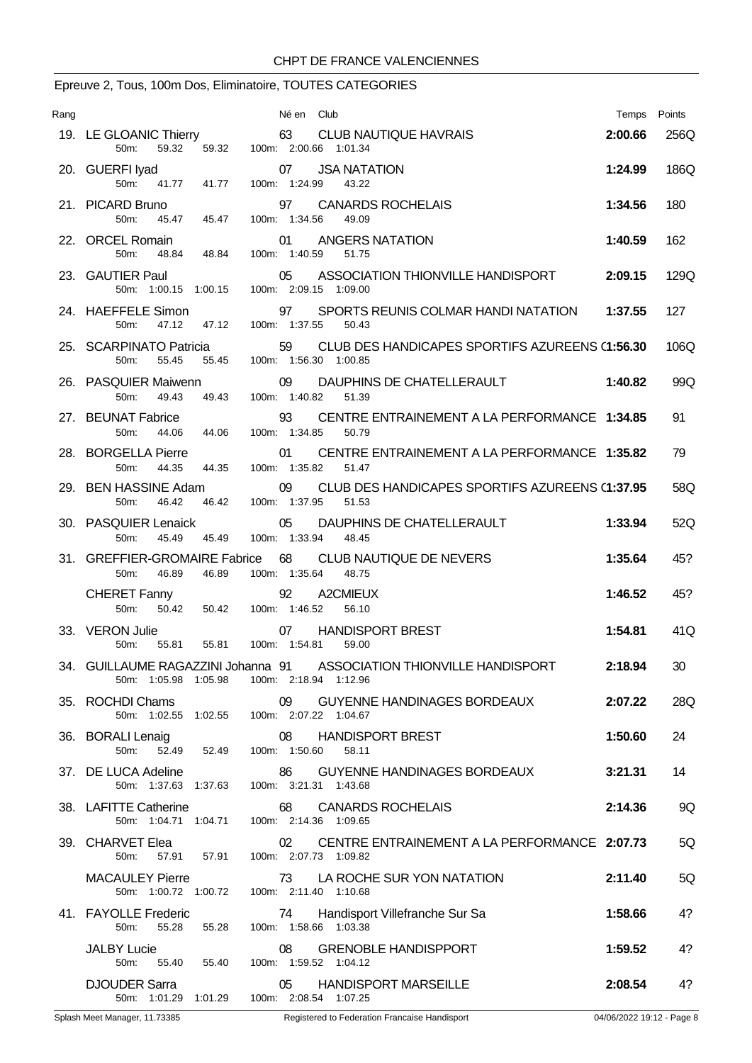# Epreuve 2, Tous, 100m Dos, Eliminatoire, TOUTES CATEGORIES

| Rang |                                                                                                          | Né en Club                                                                    | Temps   | Points |
|------|----------------------------------------------------------------------------------------------------------|-------------------------------------------------------------------------------|---------|--------|
|      | 19. LE GLOANIC Thierry<br>59.32<br>59.32<br>$50m$ :                                                      | 63 CLUB NAUTIQUE HAVRAIS<br>100m: 2:00.66 1:01.34                             | 2:00.66 | 256Q   |
|      | 20. GUERFI Iyad<br>100m: 1:24.99<br>50 <sub>m</sub><br>41.77<br>41.77                                    | <b>JSA NATATION</b><br>07<br>43.22                                            | 1:24.99 | 186Q   |
|      | 21. PICARD Bruno<br>97<br>45.47 45.47<br>50 <sub>m</sub>                                                 | <b>CANARDS ROCHELAIS</b><br>100m: 1:34.56<br>49.09                            | 1:34.56 | 180    |
|      | 22. ORCEL Romain<br>01<br>50m:<br>48.84<br>48.84                                                         | ANGERS NATATION<br>100m: 1:40.59<br>51.75                                     | 1:40.59 | 162    |
|      | 23. GAUTIER Paul<br>05<br>50m: 1:00.15 1:00.15                                                           | ASSOCIATION THIONVILLE HANDISPORT<br>100m: 2:09.15 1:09.00                    | 2:09.15 | 129Q   |
|      | 24. HAEFFELE Simon<br>97<br>47.12<br>50 <sub>m</sub> :<br>47.12                                          | SPORTS REUNIS COLMAR HANDI NATATION<br>100m: 1:37.55<br>50.43                 | 1:37.55 | 127    |
|      | 25. SCARPINATO Patricia<br>55.45<br>$50m$ :<br>55.45                                                     | 59<br>CLUB DES HANDICAPES SPORTIFS AZUREENS (1:56.30<br>100m: 1:56.30 1:00.85 |         | 106Q   |
|      | 26. PASQUIER Maiwenn<br>09<br>50m:<br>49.43<br>49.43                                                     | DAUPHINS DE CHATELLERAULT<br>100m: 1:40.82<br>51.39                           | 1:40.82 | 99Q    |
|      | 27. BEUNAT Fabrice<br>93<br>50 <sub>m</sub> :<br>44.06<br>44.06                                          | CENTRE ENTRAINEMENT A LA PERFORMANCE 1:34.85<br>100m: 1:34.85<br>50.79        |         | 91     |
|      | 28. BORGELLA Pierre<br>01<br>50m:<br>44.35<br>44.35                                                      | CENTRE ENTRAINEMENT A LA PERFORMANCE 1:35.82<br>100m: 1:35.82<br>51.47        |         | 79     |
|      | 29. BEN HASSINE Adam<br>09<br>100m: 1:37.95<br>46.42<br>46.42<br>50 <sub>m</sub> :                       | CLUB DES HANDICAPES SPORTIFS AZUREENS (1:37.95<br>51.53                       |         | 58Q    |
|      | 05<br>30. PASQUIER Lenaick<br>50 <sub>m</sub> :<br>45.49<br>45.49                                        | DAUPHINS DE CHATELLERAULT<br>100m: 1:33.94<br>48.45                           | 1:33.94 | 52Q    |
|      | 31. GREFFIER-GROMAIRE Fabrice 68<br>50m:<br>46.89<br>46.89                                               | CLUB NAUTIQUE DE NEVERS<br>100m: 1:35.64<br>48.75                             | 1:35.64 | 45?    |
|      | 92<br><b>CHERET Fanny</b><br>50m:<br>50.42<br>50.42<br>100m: 1:46.52                                     | A2CMIEUX<br>56.10                                                             | 1:46.52 | 45?    |
|      | 33. VERON Julie<br>55.81  100m: 1:54.81<br>55.81<br>50m:                                                 | <b>HANDISPORT BREST</b><br>07<br>59.00                                        | 1:54.81 | 41Q    |
|      | 50m: 1:05.98  1:05.98  100m: 2:18.94  1:12.96                                                            | 34. GUILLAUME RAGAZZINI Johanna 91 ASSOCIATION THIONVILLE HANDISPORT          | 2:18.94 | 30     |
|      | 35. ROCHDI Chams                                                                                         | 09 GUYENNE HANDINAGES BORDEAUX                                                | 2:07.22 | 28Q    |
|      | 50m: 1:02.55 1:02.55 100m: 2:07.22 1:04.67<br>36. BORALI Lenaig 08 HAM<br>50m: 52.49 52.49 100m: 1:50.60 | 08 HANDISPORT BREST                                                           | 1:50.60 | 24     |
|      | 37. DE LUCA Adeline                                                                                      | 58.11<br>GUYENNE HANDINAGES BORDEAUX<br>86                                    | 3:21.31 | 14     |
|      | 50m: 1:37.63 1:37.63 100m: 3:21.31 1:43.68<br>38. LAFITTE Catherine                                      | 68 CANARDS ROCHELAIS                                                          | 2:14.36 | 9Q     |
|      | 50m: 1:04.71  1:04.71  100m: 2:14.36  1:09.65<br>39. CHARVET Elea                                        | 02 CENTRE ENTRAINEMENT A LA PERFORMANCE 2:07.73                               |         | 5Q     |
|      | 57.91  57.91  100m: 2:07.73  1:09.82<br>50m:<br><b>MACAULEY Pierre</b>                                   | 73 LA ROCHE SUR YON NATATION                                                  | 2:11.40 | 5Q     |
|      | 50m: 1:00.72 1:00.72 100m: 2:11.40 1:10.68<br>41. FAYOLLE Frederic                                       | 74 Handisport Villefranche Sur Sa                                             | 1:58.66 | 4?     |
|      | 55.28<br>55.28<br>50m:<br>JALBY Lucie                                                                    | 100m: 1:58.66 1:03.38<br><b>GRENOBLE HANDISPPORT</b><br>08                    | 1:59.52 | 4?     |
|      | 55.40  55.40  100m: 1:59.52  1:04.12<br>50m:<br>DJOUDER Sarra                                            | <b>HANDISPORT MARSEILLE</b><br>05                                             | 2:08.54 | 4?     |
|      | 50m: 1:01.29 1:01.29 100m: 2:08.54 1:07.25                                                               |                                                                               |         |        |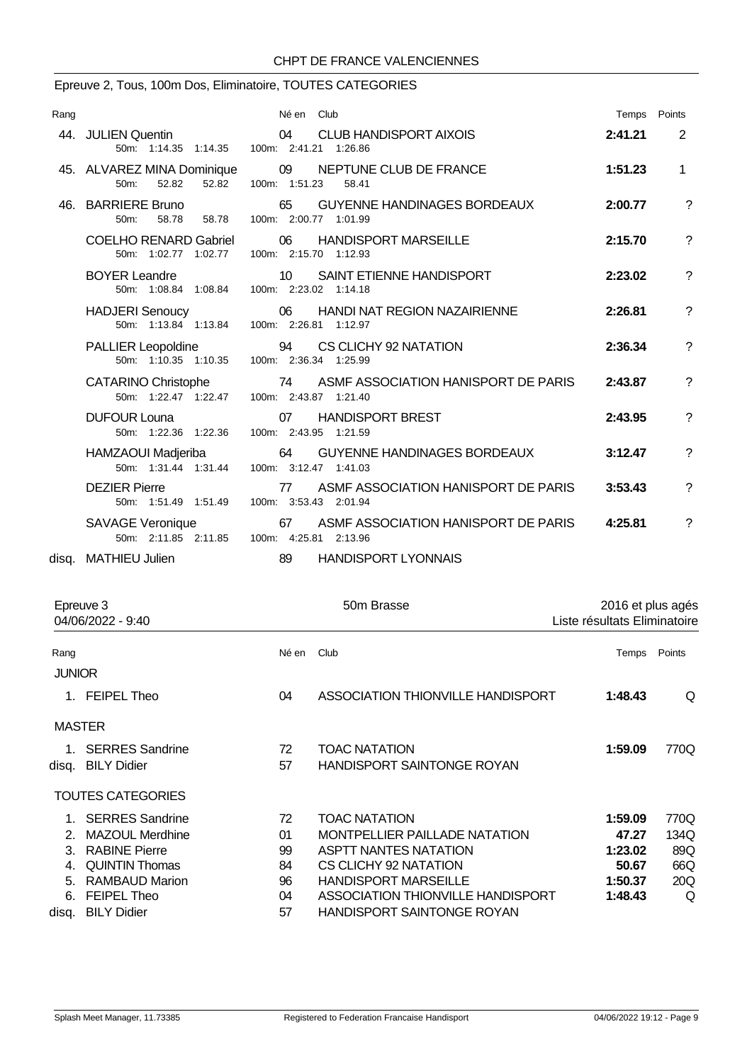### Epreuve 2, Tous, 100m Dos, Eliminatoire, TOUTES CATEGORIES

| Rang |                                                                  | Né en Club                                                           | Temps Points |                          |
|------|------------------------------------------------------------------|----------------------------------------------------------------------|--------------|--------------------------|
|      | 44. JULIEN Quentin<br>50m: 1:14.35 1:14.35 100m: 2:41.21 1:26.86 | CLUB HANDISPORT AIXOIS<br>04                                         | 2:41.21      | $\overline{2}$           |
|      | 45. ALVAREZ MINA Dominique<br>52.82<br>52.82<br>$50m$ :          | 09<br>NEPTUNE CLUB DE FRANCE<br>100m: 1:51.23<br>58.41               | 1:51.23      | $\mathbf{1}$             |
|      | 46. BARRIERE Bruno<br>58.78<br>50 <sub>m</sub> :<br>58.78        | <b>GUYENNE HANDINAGES BORDEAUX</b><br>65<br>100m: 2:00.77 1:01.99    | 2:00.77      | ?                        |
|      | <b>COELHO RENARD Gabriel</b><br>50m: 1:02.77 1:02.77             | <b>HANDISPORT MARSEILLE</b><br>06<br>100m: 2:15.70 1:12.93           | 2:15.70      | ?                        |
|      | <b>BOYER Leandre</b><br>50m: 1:08.84 1:08.84                     | SAINT ETIENNE HANDISPORT<br>10 <sup>°</sup><br>100m: 2:23.02 1:14.18 | 2:23.02      | $\overline{?}$           |
|      | <b>HADJERI Senoucy</b><br>50m: 1:13.84 1:13.84                   | 06<br><b>HANDI NAT REGION NAZAIRIENNE</b><br>100m: 2:26.81 1:12.97   | 2:26.81      | ?                        |
|      | <b>PALLIER Leopoldine</b><br>50m: 1:10.35 1:10.35                | 94<br>CS CLICHY 92 NATATION<br>100m: 2:36.34 1:25.99                 | 2:36.34      | ?                        |
|      | <b>CATARINO Christophe</b><br>50m: 1:22.47 1:22.47               | ASMF ASSOCIATION HANISPORT DE PARIS<br>74<br>100m: 2:43.87 1:21.40   | 2:43.87      | $\overline{\mathcal{E}}$ |
|      | <b>DUFOUR Louna</b><br>50m: 1:22.36 1:22.36                      | <b>HANDISPORT BREST</b><br>07<br>100m: 2:43.95 1:21.59               | 2:43.95      | $\overline{\mathcal{E}}$ |
|      | HAMZAOUI Madjeriba<br>50m: 1:31.44 1:31.44                       | <b>GUYENNE HANDINAGES BORDEAUX</b><br>64<br>100m: 3:12.47 1:41.03    | 3:12.47      | ?                        |
|      | <b>DEZIER Pierre</b><br>50m: 1:51.49 1:51.49                     | ASMF ASSOCIATION HANISPORT DE PARIS<br>77<br>100m: 3:53.43 2:01.94   | 3:53.43      | ?                        |
|      | SAVAGE Veronique<br>50m: 2:11.85 2:11.85                         | ASMF ASSOCIATION HANISPORT DE PARIS<br>67<br>100m: 4:25.81 2:13.96   | 4:25.81      | ?                        |
|      | disa. MATHIEU Julien                                             | 89<br><b>HANDISPORT LYONNAIS</b>                                     |              |                          |

| Epreuve 3<br>04/06/2022 - 9:40 |                          |            | 50m Brasse                        | 2016 et plus agés<br>Liste résultats Eliminatoire |        |
|--------------------------------|--------------------------|------------|-----------------------------------|---------------------------------------------------|--------|
| Rang                           |                          | Né en Club |                                   | Temps                                             | Points |
| <b>JUNIOR</b>                  |                          |            |                                   |                                                   |        |
|                                | 1. FEIPEL Theo           | 04         | ASSOCIATION THIONVILLE HANDISPORT | 1:48.43                                           | Q      |
| <b>MASTER</b>                  |                          |            |                                   |                                                   |        |
|                                | 1. SERRES Sandrine       | 72         | <b>TOAC NATATION</b>              | 1:59.09                                           | 770Q   |
|                                | disg. BILY Didier        | 57         | <b>HANDISPORT SAINTONGE ROYAN</b> |                                                   |        |
|                                | <b>TOUTES CATEGORIES</b> |            |                                   |                                                   |        |
|                                | 1. SERRES Sandrine       | 72         | <b>TOAC NATATION</b>              | 1:59.09                                           | 770Q   |
| $\mathcal{P}$                  | <b>MAZOUL Merdhine</b>   | 01         | MONTPELLIER PAILLADE NATATION     | 47.27                                             | 134Q   |
| 3.                             | <b>RABINE Pierre</b>     | 99         | <b>ASPTT NANTES NATATION</b>      | 1:23.02                                           | 89Q    |
| 4.                             | <b>QUINTIN Thomas</b>    | 84         | CS CLICHY 92 NATATION             | 50.67                                             | 66Q    |
| 5.                             | <b>RAMBAUD Marion</b>    | 96         | <b>HANDISPORT MARSEILLE</b>       | 1:50.37                                           | 20Q    |
| 6.                             | <b>FEIPEL Theo</b>       | 04         | ASSOCIATION THIONVILLE HANDISPORT | 1:48.43                                           | Q      |
|                                | disg. BILY Didier        | 57         | <b>HANDISPORT SAINTONGE ROYAN</b> |                                                   |        |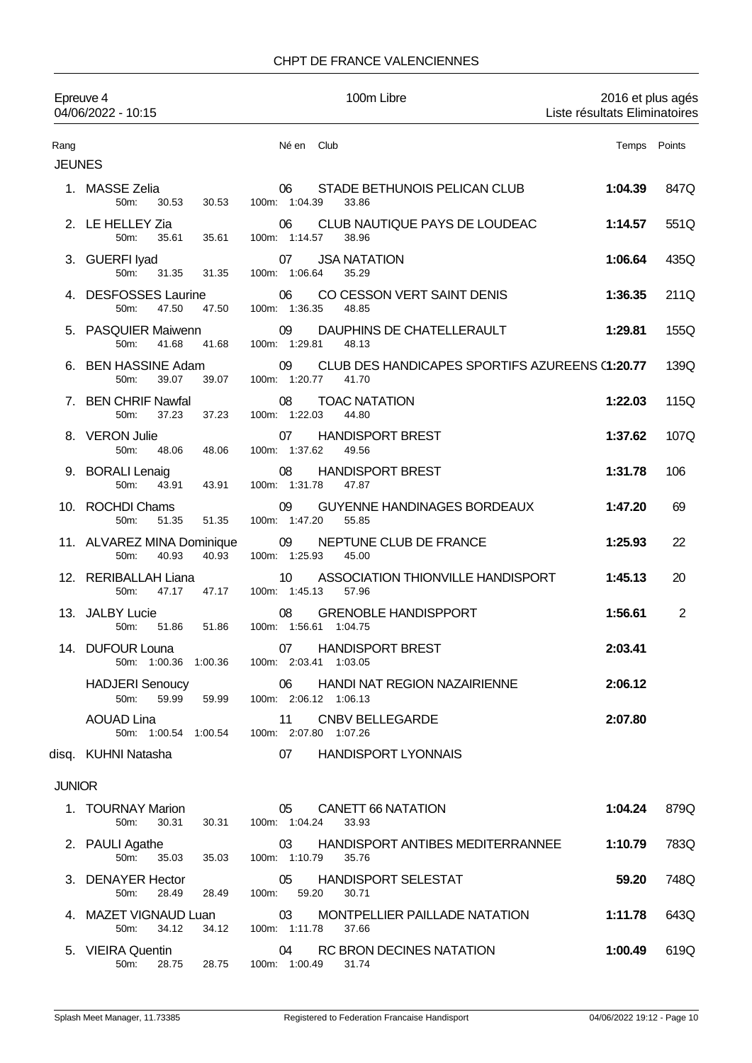|                       | Epreuve 4<br>04/06/2022 - 10:15                                 |                             |                             | 100m Libre                                              | Liste résultats Eliminatoires | 2016 et plus agés |
|-----------------------|-----------------------------------------------------------------|-----------------------------|-----------------------------|---------------------------------------------------------|-------------------------------|-------------------|
| Rang<br><b>JEUNES</b> |                                                                 |                             | Né en Club                  |                                                         |                               | Temps Points      |
|                       | 1. MASSE Zelia<br>50m:<br>30.53                                 | 30.53                       | 06<br>100m: 1:04.39         | STADE BETHUNOIS PELICAN CLUB<br>33.86                   | 1:04.39                       | 847Q              |
|                       | 2. LE HELLEY Zia<br>50m:<br>35.61                               | 35.61                       | 06<br>100m: 1:14.57         | CLUB NAUTIQUE PAYS DE LOUDEAC<br>38.96                  | 1:14.57                       | 551Q              |
|                       | 3. GUERFI Iyad<br>50m:<br>31.35                                 | 31.35                       | 07<br>100m: 1:06.64         | <b>JSA NATATION</b><br>35.29                            | 1:06.64                       | 435Q              |
|                       | 4. DESFOSSES Laurine<br>50m:<br>47.50                           | 47.50                       | 06<br>100m: 1:36.35         | CO CESSON VERT SAINT DENIS<br>48.85                     | 1:36.35                       | 211Q              |
|                       | 5. PASQUIER Maiwenn<br>50 <sub>m</sub> :<br>41.68               | 41.68                       | 09<br>100m: 1:29.81         | DAUPHINS DE CHATELLERAULT<br>48.13                      | 1:29.81                       | 155Q              |
|                       | 6. BEN HASSINE Adam<br>39.07<br>50 <sub>m</sub> :               | 39.07                       | 09<br>100m: 1:20.77         | CLUB DES HANDICAPES SPORTIFS AZUREENS (1:20.77<br>41.70 |                               | 139Q              |
|                       | 7. BEN CHRIF Nawfal<br>50m:<br>37.23                            | 37.23                       | 08<br>100m: 1:22.03         | <b>TOAC NATATION</b><br>44.80                           | 1:22.03                       | 115Q              |
|                       | 8. VERON Julie<br>50m:<br>48.06                                 | 48.06                       | 07<br>100m: 1:37.62         | <b>HANDISPORT BREST</b><br>49.56                        | 1:37.62                       | 107Q              |
|                       | 9. BORALI Lenaig<br>50m:<br>43.91                               | 43.91                       | 08<br>100m: 1:31.78         | <b>HANDISPORT BREST</b><br>47.87                        | 1:31.78                       | 106               |
|                       | 10. ROCHDI Chams<br>50m:<br>51.35                               | 51.35                       | 09<br>100m: 1:47.20         | <b>GUYENNE HANDINAGES BORDEAUX</b><br>55.85             | 1:47.20                       | 69                |
|                       | 11. ALVAREZ MINA Dominique<br>40.93<br>50 <sub>m</sub> :        | 40.93                       | 09<br>100m: 1:25.93         | NEPTUNE CLUB DE FRANCE<br>45.00                         | 1:25.93                       | 22                |
|                       | 12. RERIBALLAH Liana<br>50 <sub>m</sub><br>47.17                | 47.17                       | 10<br>100m: 1:45.13         | ASSOCIATION THIONVILLE HANDISPORT<br>57.96              | 1:45.13                       | 20                |
|                       | 13. JALBY Lucie<br>51.86<br>50m:                                | 51.86                       | 08<br>100m: 1:56.61 1:04.75 | <b>GRENOBLE HANDISPPORT</b>                             | 1:56.61                       | $\overline{2}$    |
|                       | 14. DUFOUR Louna<br>50m: 1:00.36 1:00.36                        | 100m: 2:03.41 1:03.05       | 07                          | <b>HANDISPORT BREST</b>                                 | 2:03.41                       |                   |
|                       | <b>HADJERI Senoucy</b><br>50m:<br>59.99                         | 59.99 100m: 2:06.12 1:06.13 |                             | 06 HANDI NAT REGION NAZAIRIENNE                         | 2:06.12                       |                   |
|                       | <b>AOUAD Lina</b><br>50m: 1:00.54 1:00.54 100m: 2:07.80 1:07.26 |                             |                             | 11 CNBV BELLEGARDE                                      | 2:07.80                       |                   |
|                       | disq. KUHNI Natasha                                             |                             |                             | 07 HANDISPORT LYONNAIS                                  |                               |                   |
| <b>JUNIOR</b>         |                                                                 |                             |                             |                                                         |                               |                   |
|                       | 1. TOURNAY Marion<br>30.31<br>50m:                              | 30.31                       | 05<br>100m: 1:04.24         | CANETT 66 NATATION<br>33.93                             | 1:04.24                       | 879Q              |
|                       | 2. PAULI Agathe<br>50m: 35.03                                   | 35.03                       | 03<br>100m: 1:10.79         | HANDISPORT ANTIBES MEDITERRANNEE<br>35.76               | 1:10.79                       | 783Q              |
|                       | 3. DENAYER Hector<br>28.49<br>50m:                              | 28.49                       | 05<br>100m: 59.20           | HANDISPORT SELESTAT<br>30.71                            | 59.20                         | 748Q              |
|                       | 4. MAZET VIGNAUD Luan<br>34.12<br>50m:                          | 34.12                       | 03<br>100m: 1:11.78         | MONTPELLIER PAILLADE NATATION<br>37.66                  | 1:11.78                       | 643Q              |
|                       | 5. VIEIRA Quentin<br>50m: 28.75 28.75 100m: 1:00.49 31.74       |                             | 04                          | RC BRON DECINES NATATION                                | 1:00.49                       | 619Q              |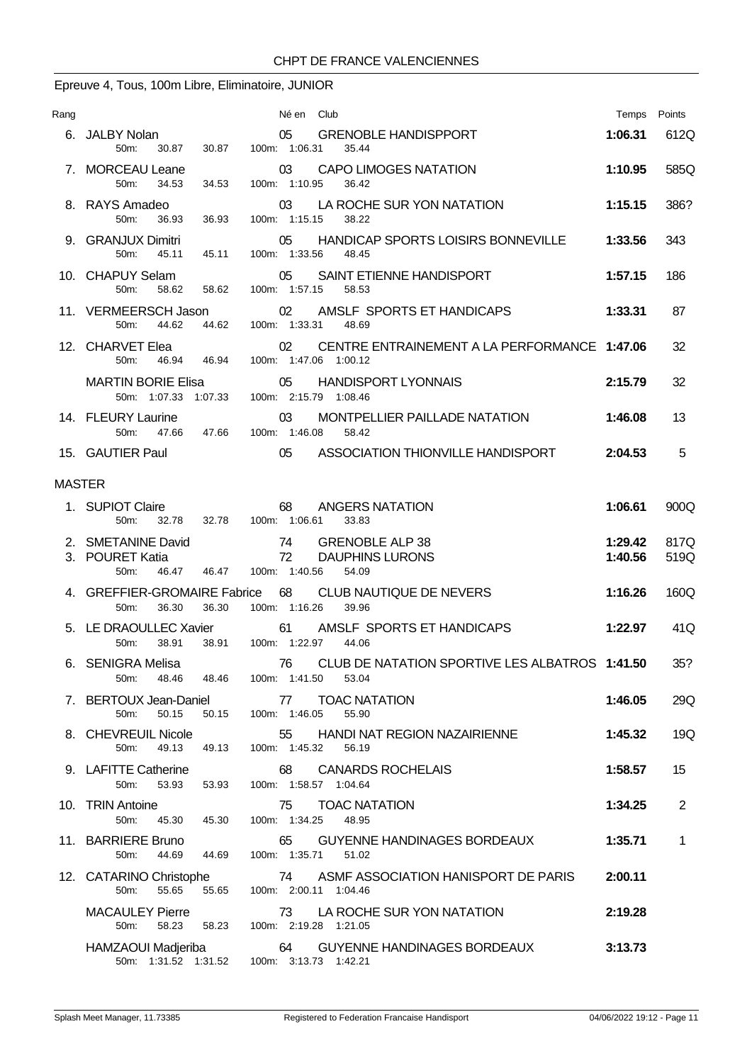# Epreuve 4, Tous, 100m Libre, Eliminatoire, JUNIOR

| Rang          |                                                                                  | Né en Club                                                                  | Temps              | Points       |
|---------------|----------------------------------------------------------------------------------|-----------------------------------------------------------------------------|--------------------|--------------|
|               | 6. JALBY Nolan<br>50 <sub>m</sub> :<br>30.87<br>30.87                            | 05<br><b>GRENOBLE HANDISPPORT</b><br>100m: 1:06.31<br>35.44                 | 1:06.31            | 612Q         |
|               | 7. MORCEAU Leane<br>100m: 1:10.95<br>34.53<br>50m:<br>34.53                      | 03<br><b>CAPO LIMOGES NATATION</b><br>36.42                                 | 1:10.95            | 585Q         |
|               | 8. RAYS Amadeo<br>50 <sub>m</sub> :<br>36.93<br>36.93                            | LA ROCHE SUR YON NATATION<br>03<br>100m: 1:15.15<br>38.22                   | 1:15.15            | 386?         |
|               | 9. GRANJUX Dimitri<br>100m: 1:33.56<br>50 <sub>m</sub> :<br>45.11<br>45.11       | HANDICAP SPORTS LOISIRS BONNEVILLE<br>05<br>48.45                           | 1:33.56            | 343          |
|               | 10. CHAPUY Selam<br>05<br>100m: 1:57.15<br>58.62 58.62<br>50 <sub>m</sub>        | SAINT ETIENNE HANDISPORT<br>58.53                                           | 1:57.15            | 186          |
|               | 44.62<br>44.62<br>50 <sub>m</sub> :                                              | 11. VERMEERSCH Jason 02 AMSLF SPORTS ET HANDICAPS<br>100m: 1:33.31 48.69    | 1:33.31            | 87           |
|               | 12. CHARVET Elea<br>50m: 46.94 46.94                                             | 02<br>CENTRE ENTRAINEMENT A LA PERFORMANCE 1:47.06<br>100m: 1:47.06 1:00.12 |                    | 32           |
|               | MARTIN BORIE Elisa<br>50m: 1:07.33 1:07.33 100m: 2:15.79 1:08.46                 | 05<br><b>HANDISPORT LYONNAIS</b>                                            | 2:15.79            | 32           |
|               | 14. FLEURY Laurine<br>100m: 1:46.08<br>50 <sub>m</sub><br>47.66<br>47.66         | 03<br>MONTPELLIER PAILLADE NATATION<br>58.42                                | 1:46.08            | 13           |
|               | 15. GAUTIER Paul<br>05                                                           | ASSOCIATION THIONVILLE HANDISPORT                                           | 2:04.53            | 5            |
| <b>MASTER</b> |                                                                                  |                                                                             |                    |              |
|               | 1. SUPIOT Claire<br>68<br>32.78<br>32.78<br>100m: 1:06.61<br>50m:                | <b>ANGERS NATATION</b><br>33.83                                             | 1:06.61            | 900Q         |
|               | 2. SMETANINE David<br>3. POURET Katia<br>100m: 1:40.56<br>50m:<br>46.47<br>46.47 | 74 GRENOBLE ALP 38<br>72<br><b>DAUPHINS LURONS</b><br>54.09                 | 1:29.42<br>1:40.56 | 817Q<br>519Q |
|               | 4. GREFFIER-GROMAIRE Fabrice<br>36.30<br>36.30<br>50m:                           | 68<br>CLUB NAUTIQUE DE NEVERS<br>100m: 1:16.26<br>39.96                     | 1:16.26            | 160Q         |
|               | 38.91<br>100m: 1:22.97<br>38.91<br>50m:                                          | 5. LE DRAOULLEC Xavier 61 AMSLF SPORTS ET HANDICAPS<br>44.06                | 1:22.97            | 41Q          |
|               | 6. SENIGRA Melisa<br>50 <sub>m</sub> :<br>48.46<br>100m: 1:41.50<br>48.46        | 76 CLUB DE NATATION SPORTIVE LES ALBATROS 1:41.50<br>53.04                  |                    | 35?          |
|               | 7. BERTOUX Jean-Daniel<br>50.15<br>50.15<br>100m: 1:46.05<br>50m:                | <b>TOAC NATATION</b><br>77<br>55.90                                         | 1:46.05            | 29Q          |
|               | 8. CHEVREUIL Nicole<br>55<br>100m: 1:45.32<br>50m:<br>49.13<br>49.13             | HANDI NAT REGION NAZAIRIENNE<br>56.19                                       | 1:45.32            | 19Q          |
|               | 9. LAFITTE Catherine<br>68<br>50m:<br>53.93<br>53.93                             | <b>CANARDS ROCHELAIS</b><br>100m: 1:58.57 1:04.64                           | 1:58.57            | 15           |
|               | 10. TRIN Antoine<br>75<br>50m:<br>100m: 1:34.25<br>45.30<br>45.30                | <b>TOAC NATATION</b><br>48.95                                               | 1:34.25            | 2            |
|               | 11. BARRIERE Bruno<br>65<br>100m: 1:35.71<br>50m:<br>44.69<br>44.69              | GUYENNE HANDINAGES BORDEAUX<br>51.02                                        | 1:35.71            | $\mathbf 1$  |
|               | 12. CATARINO Christophe<br>55.65<br>50m:<br>55.65                                | 74 ASME ASSOCIATION HANISPORT DE PARIS<br>100m: 2:00.11 1:04.46             | 2:00.11            |              |
|               | <b>MACAULEY Pierre</b><br>50m:<br>58.23<br>58.23                                 | 73 LA ROCHE SUR YON NATATION<br>100m: 2:19.28 1:21.05                       | 2:19.28            |              |
|               | HAMZAOUI Madjeriba<br>50m: 1:31.52 1:31.52 100m: 3:13.73 1:42.21                 | 64<br>GUYENNE HANDINAGES BORDEAUX                                           | 3:13.73            |              |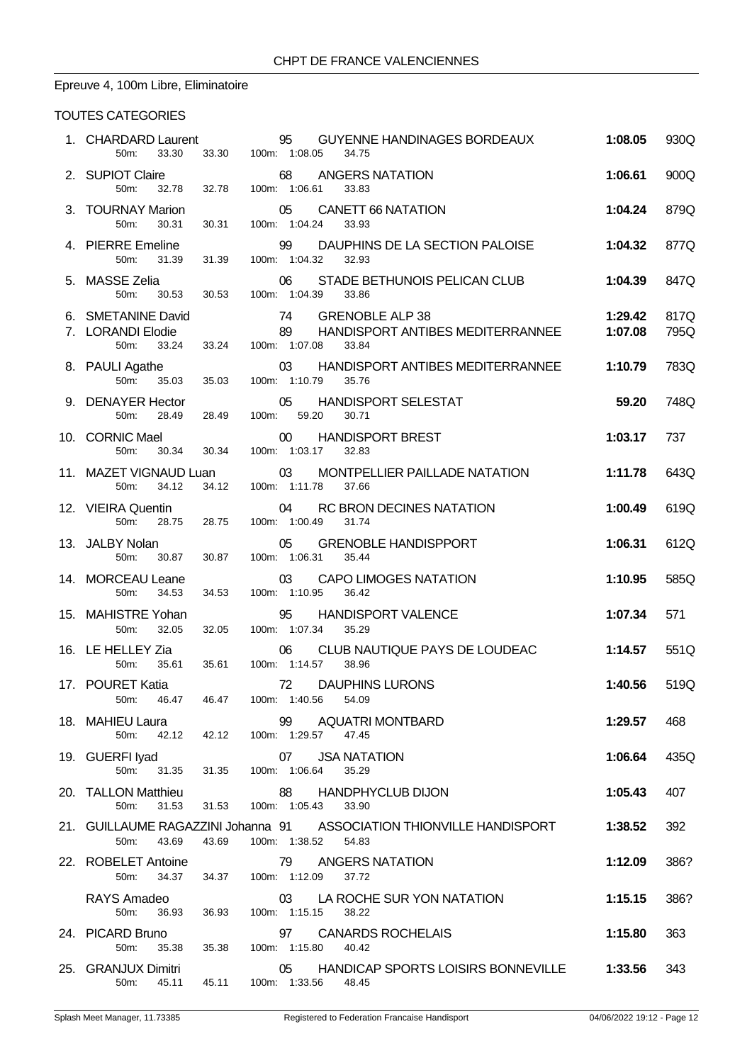# Epreuve 4, 100m Libre, Eliminatoire

| 2. SUPIOT Claire<br>50m:                  |                                                                                                                                                                                                                                                                           |                                                                                                     |                                                                                                                                                                                                             |                                                                                                                                                         |
|-------------------------------------------|---------------------------------------------------------------------------------------------------------------------------------------------------------------------------------------------------------------------------------------------------------------------------|-----------------------------------------------------------------------------------------------------|-------------------------------------------------------------------------------------------------------------------------------------------------------------------------------------------------------------|---------------------------------------------------------------------------------------------------------------------------------------------------------|
|                                           |                                                                                                                                                                                                                                                                           | 68 ANGERS NATATION<br>32.78  32.78  100m: 1:06.61<br>33.83                                          | 1:06.61                                                                                                                                                                                                     | 900Q                                                                                                                                                    |
| 3. TOURNAY Marion<br>50m:<br>30.31        | 30.31                                                                                                                                                                                                                                                                     | 05 CANETT 66 NATATION<br>100m: 1:04.24<br>33.93                                                     | 1:04.24                                                                                                                                                                                                     | 879Q                                                                                                                                                    |
| 50m:<br>31.39                             | 31.39                                                                                                                                                                                                                                                                     | 99 DAUPHINS DE LA SECTION PALOISE<br>100m: 1:04.32<br>32.93                                         | 1:04.32                                                                                                                                                                                                     | 877Q                                                                                                                                                    |
|                                           |                                                                                                                                                                                                                                                                           | 06 STADE BETHUNOIS PELICAN CLUB<br>100m: 1:04.39<br>33.86                                           | 1:04.39                                                                                                                                                                                                     | 847Q                                                                                                                                                    |
| 50m:<br>33.24                             |                                                                                                                                                                                                                                                                           | 100m: 1:07.08<br>33.84                                                                              | 1:29.42<br>1:07.08                                                                                                                                                                                          | 817Q<br>795Q                                                                                                                                            |
| 50m:                                      | 35.03                                                                                                                                                                                                                                                                     | 03<br>100m: 1:10.79<br>35.76                                                                        |                                                                                                                                                                                                             | 783Q                                                                                                                                                    |
| 50m:                                      |                                                                                                                                                                                                                                                                           | 05 HANDISPORT SELESTAT<br>100m: 59.20<br>30.71                                                      | 59.20                                                                                                                                                                                                       | 748Q                                                                                                                                                    |
| 30.34<br>50m:                             |                                                                                                                                                                                                                                                                           | 00 HANDISPORT BREST<br>100m: 1:03.17<br>32.83                                                       | 1:03.17                                                                                                                                                                                                     | 737                                                                                                                                                     |
| 50m:<br>34.12                             |                                                                                                                                                                                                                                                                           | 03<br>MONTPELLIER PAILLADE NATATION<br>100m: 1:11.78<br>37.66                                       | 1:11.78                                                                                                                                                                                                     | 643Q                                                                                                                                                    |
| 50m:                                      |                                                                                                                                                                                                                                                                           | 04 RC BRON DECINES NATATION<br>100m: 1:00.49 31.74                                                  | 1:00.49                                                                                                                                                                                                     | 619Q                                                                                                                                                    |
| 50m:<br>30.87                             |                                                                                                                                                                                                                                                                           | 05 GRENOBLE HANDISPPORT<br>100m: 1:06.31<br>35.44                                                   | 1:06.31                                                                                                                                                                                                     | 612Q                                                                                                                                                    |
| 50m:<br>34.53                             | 34.53                                                                                                                                                                                                                                                                     | <b>CAPO LIMOGES NATATION</b><br>03<br>100m: 1:10.95<br>36.42                                        | 1:10.95                                                                                                                                                                                                     | 585Q                                                                                                                                                    |
| 32.05<br>50m:                             | 32.05                                                                                                                                                                                                                                                                     | 95<br><b>HANDISPORT VALENCE</b><br>100m: 1:07.34 35.29                                              | 1:07.34                                                                                                                                                                                                     | 571                                                                                                                                                     |
| 50m:<br>35.61                             |                                                                                                                                                                                                                                                                           | CLUB NAUTIQUE PAYS DE LOUDEAC<br>06<br>100m: 1:14.57<br>38.96                                       | 1:14.57                                                                                                                                                                                                     | 551Q                                                                                                                                                    |
| 46.47<br>$50m$ :                          |                                                                                                                                                                                                                                                                           | 72 DAUPHINS LURONS<br>54.09                                                                         | 1:40.56                                                                                                                                                                                                     | 519Q                                                                                                                                                    |
| 50m:                                      |                                                                                                                                                                                                                                                                           | 99<br>AQUATRI MONTBARD<br>100m: 1:29.57<br>47.45                                                    | 1:29.57                                                                                                                                                                                                     | 468                                                                                                                                                     |
| 50m:                                      |                                                                                                                                                                                                                                                                           | <b>JSA NATATION</b><br>07<br>35.29                                                                  | 1:06.64                                                                                                                                                                                                     | 435Q                                                                                                                                                    |
| 50 <sub>m</sub> :<br>31.53                |                                                                                                                                                                                                                                                                           | 88<br><b>HANDPHYCLUB DIJON</b><br>100m: 1:05.43<br>33.90                                            | 1:05.43                                                                                                                                                                                                     | 407                                                                                                                                                     |
| 50m:<br>43.69                             | 43.69                                                                                                                                                                                                                                                                     | 100m: 1:38.52<br>54.83                                                                              | 1:38.52                                                                                                                                                                                                     | 392                                                                                                                                                     |
| 50m:                                      |                                                                                                                                                                                                                                                                           | 79<br>ANGERS NATATION<br>37.72                                                                      | 1:12.09                                                                                                                                                                                                     | 386?                                                                                                                                                    |
|                                           |                                                                                                                                                                                                                                                                           | LA ROCHE SUR YON NATATION<br>03                                                                     | 1:15.15                                                                                                                                                                                                     | 386?                                                                                                                                                    |
| RAYS Amadeo<br>50 <sub>m</sub> :<br>36.93 | 36.93                                                                                                                                                                                                                                                                     | 100m: 1:15.15<br>38.22                                                                              |                                                                                                                                                                                                             |                                                                                                                                                         |
| 24. PICARD Bruno<br>50m:<br>35.38         | 35.38                                                                                                                                                                                                                                                                     | 97<br><b>CANARDS ROCHELAIS</b><br>100m: 1:15.80<br>40.42                                            | 1:15.80                                                                                                                                                                                                     | 363                                                                                                                                                     |
|                                           | 4. PIERRE Emeline<br>6. SMETANINE David<br>8. PAULI Agathe<br>10. CORNIC Mael<br>13. JALBY Nolan<br>14. MORCEAU Leane<br>15. MAHISTRE Yohan<br>16. LE HELLEY Zia<br>17. POURET Katia<br>18. MAHIEU Laura<br>19. GUERFI Iyad<br>20. TALLON Matthieu<br>22. ROBELET Antoine | 5. MASSE Zelia<br>35.03<br>9. DENAYER Hector<br>28.49 28.49<br>30.34<br>12. VIEIRA Quentin<br>30.87 | 50m: 30.53 30.53<br>74 GRENOBLE ALP 38<br>7. LORANDI Elodie<br>33.24<br>11. MAZET VIGNAUD Luan<br>34.12<br>28.75 28.75<br>35.61<br>46.47 100m: 1:40.56<br>42.12 42.12<br>31.35 31.35 100m: 1:06.64<br>31.53 | 89 HANDISPORT ANTIBES MEDITERRANNEE<br>HANDISPORT ANTIBES MEDITERRANNEE 1:10.79<br>21. GUILLAUME RAGAZZINI Johanna 91 ASSOCIATION THIONVILLE HANDISPORT |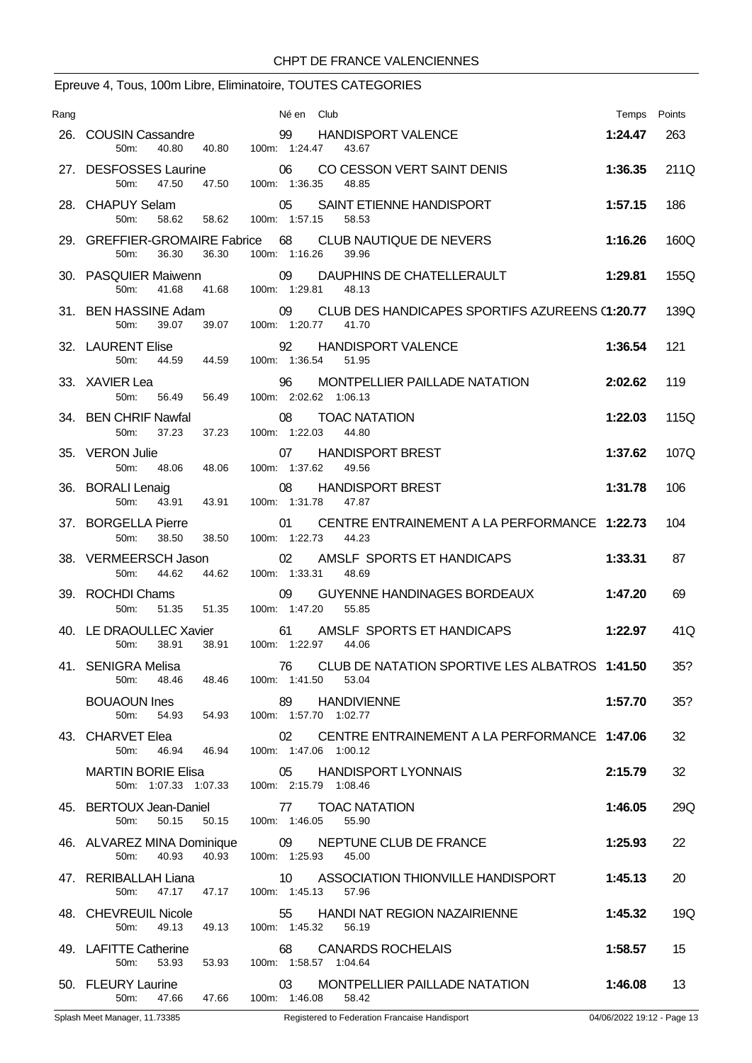# Epreuve 4, Tous, 100m Libre, Eliminatoire, TOUTES CATEGORIES

| Rang |                                                                        | Né en Club                                                                                                     | Temps Points |      |
|------|------------------------------------------------------------------------|----------------------------------------------------------------------------------------------------------------|--------------|------|
|      | 26. COUSIN Cassandre<br>40.80<br>40.80<br>50m:                         | 99 HANDISPORT VALENCE<br>100m: 1:24.47<br>43.67                                                                | 1:24.47      | 263  |
|      | 27. DESFOSSES Laurine<br>50 <sub>m</sub> :<br>47.50<br>47.50           | 06<br>CO CESSON VERT SAINT DENIS<br>100m: 1:36.35<br>48.85                                                     | 1:36.35      | 211Q |
|      | 58.62  58.62  100m: 1:57.15<br>50 <sub>m</sub> :                       | 28. CHAPUY Selam 05 SAINT ETIENNE HANDISPORT<br>58.53                                                          | 1:57.15      | 186  |
|      | 36.30<br>36.30<br>50m:                                                 | 29. GREFFIER-GROMAIRE Fabrice 68 CLUB NAUTIQUE DE NEVERS<br>100m: 1:16.26<br>39.96                             | 1:16.26      | 160Q |
|      | 30. PASQUIER Maiwenn<br>50m:<br>41.68                                  | 09<br>DAUPHINS DE CHATELLERAULT<br>41.68 100m: 1:29.81<br>48.13                                                | 1:29.81      | 155Q |
|      |                                                                        | 31. BEN HASSINE Adam 09 CLUB DES HANDICAPES SPORTIFS AZUREENS (1:20.77<br>50m: 39.07 39.07 100m: 1:20.77 41.70 |              | 139Q |
|      | 32. LAURENT Elise<br>44.59 44.59<br>50m:                               | 92<br><b>HANDISPORT VALENCE</b><br>100m: 1:36.54<br>51.95                                                      | 1:36.54      | 121  |
|      | 33. XAVIER Lea<br>50m:<br>56.49 56.49                                  | 96<br>MONTPELLIER PAILLADE NATATION<br>100m: 2:02.62 1:06.13                                                   | 2:02.62      | 119  |
|      | 34. BEN CHRIF Nawfal<br>37.23<br>37.23<br>50 <sub>m</sub>              | 08 TOAC NATATION<br>100m: 1:22.03 44.80                                                                        | 1:22.03      | 115Q |
|      | 35. VERON Julie<br>50m:<br>48.06<br>48.06                              | 07 HANDISPORT BREST<br>100m: 1:37.62<br>49.56                                                                  | 1:37.62      | 107Q |
|      | 36. BORALI Lenaig<br>43.91<br>50 <sub>m</sub> :<br>43.91               | 08<br><b>HANDISPORT BREST</b><br>100m: 1:31.78<br>47.87                                                        | 1:31.78      | 106  |
|      | 38.50<br>38.50<br>50m:                                                 | 37. BORGELLA Pierre 01 CENTRE ENTRAINEMENT A LA PERFORMANCE 1:22.73<br>100m: 1:22.73 44.23                     |              | 104  |
|      | 38. VERMEERSCH Jason<br>50m: 44.62<br>44.62                            | 02 AMSLF SPORTS ET HANDICAPS<br>100m: 1:33.31<br>48.69                                                         | 1:33.31      | 87   |
|      | 39. ROCHDI Chams<br>51.35 51.35<br>50m:                                | 09<br><b>GUYENNE HANDINAGES BORDEAUX</b><br>100m: 1:47.20<br>55.85                                             | 1:47.20      | 69   |
|      | 38.91<br>38.91<br>50m:                                                 | 40. LE DRAOULLEC Xavier 61 AMSLF SPORTS ET HANDICAPS<br>100m: 1:22.97 44.06                                    | 1:22.97      | 41Q  |
|      | 41. SENIGRA Melisa<br>50m:<br>48.46<br>48.46                           | 76 CLUB DE NATATION SPORTIVE LES ALBATROS 1:41.50<br>100m. 1:41.50<br>53.04                                    |              | 35?  |
|      | <b>BOUAOUN Ines</b><br>54.93 54.93<br>50 <sub>m</sub> :                | 89 HANDIVIENNE<br>100m: 1:57.70 1:02.77                                                                        | 1:57.70      | 35?  |
|      | 43. CHARVET Elea<br>50 <sub>m</sub> :                                  | CENTRE ENTRAINEMENT A LA PERFORMANCE 1:47.06<br>02<br>46.94  46.94  100m: 1:47.06  1:00.12                     |              | 32   |
|      |                                                                        | 05 HANDISPORT LYONNAIS                                                                                         | 2:15.79      | 32   |
|      | 45. BERTOUX Jean-Daniel 77 TOAC NATATION<br>50 <sub>m</sub> :<br>50.15 | 50.15  100m: 1:46.05<br>55.90                                                                                  | 1:46.05      | 29Q  |
|      | 46. ALVAREZ MINA Dominique<br>40.93<br>40.93<br>50m:                   | 09<br>NEPTUNE CLUB DE FRANCE<br>100m: 1:25.93<br>45.00                                                         | 1:25.93      | 22   |
|      | 47. RERIBALLAH Liana<br>47.17 47.17 100m: 1:45.13<br>50m:              | 10 ASSOCIATION THIONVILLE HANDISPORT<br>57.96                                                                  | 1:45.13      | 20   |
|      | 48. CHEVREUIL Nicole                                                   | 55 HANDI NAT REGION NAZAIRIENNE<br>100m: 1:45.32                                                               | 1:45.32      | 19Q  |
|      | 50 <sub>m</sub><br>49.13<br>49.13<br>49. LAFITTE Catherine             | 56.19<br>68<br><b>CANARDS ROCHELAIS</b>                                                                        | 1:58.57      | 15   |
|      | 50 <sub>m</sub> :<br>53.93<br>53.93<br>50. FLEURY Laurine<br>50m:      | 100m: 1:58.57 1:04.64<br>03 MONTPELLIER PAILLADE NATATION<br>47.66  47.66  100m: 1:46.08  58.42                | 1:46.08      | 13   |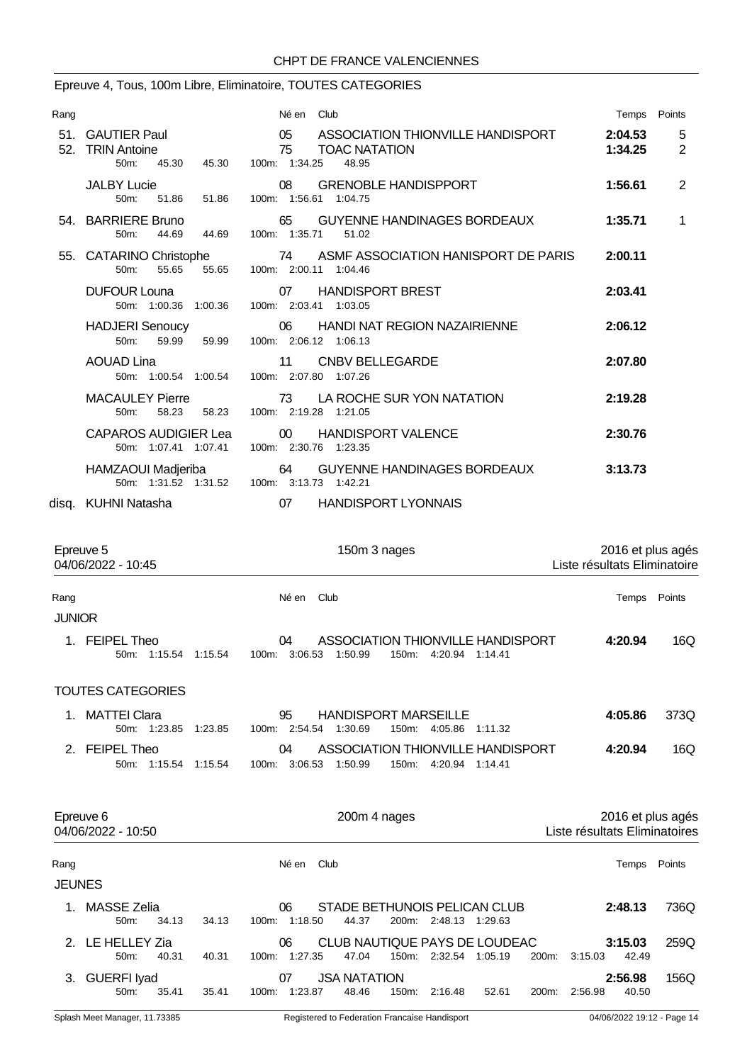#### Epreuve 4, Tous, 100m Libre, Eliminatoire, TOUTES CATEGORIES

| Rang                  |                                                                      | Né en Club                                                                                      | Temps Points                                      |                     |
|-----------------------|----------------------------------------------------------------------|-------------------------------------------------------------------------------------------------|---------------------------------------------------|---------------------|
| 51.<br>52.            | <b>GAUTIER Paul</b><br><b>TRIN Antoine</b><br>45.30<br>50m:<br>45.30 | ASSOCIATION THIONVILLE HANDISPORT<br>05<br>75<br><b>TOAC NATATION</b><br>100m: 1:34.25<br>48.95 | 2:04.53<br>1:34.25                                | 5<br>$\overline{2}$ |
|                       | <b>JALBY Lucie</b><br>50m:<br>51.86<br>51.86                         | <b>GRENOBLE HANDISPPORT</b><br>08<br>100m: 1:56.61 1:04.75                                      | 1:56.61                                           | 2                   |
|                       | 54. BARRIERE Bruno<br>50m:<br>44.69<br>44.69                         | <b>GUYENNE HANDINAGES BORDEAUX</b><br>65<br>100m: 1:35.71<br>51.02                              | 1:35.71                                           | 1                   |
|                       | 55. CATARINO Christophe<br>$50m$ :<br>55.65<br>55.65                 | ASMF ASSOCIATION HANISPORT DE PARIS<br>74<br>100m: 2:00.11 1:04.46                              | 2:00.11                                           |                     |
|                       | <b>DUFOUR Louna</b><br>50m: 1:00.36 1:00.36                          | <b>HANDISPORT BREST</b><br>07<br>100m: 2:03.41 1:03.05                                          | 2:03.41                                           |                     |
|                       | <b>HADJERI</b> Senoucy<br>50m:<br>59.99<br>59.99                     | 06<br><b>HANDI NAT REGION NAZAIRIENNE</b><br>100m: 2:06.12 1:06.13                              | 2:06.12                                           |                     |
|                       | <b>AOUAD Lina</b><br>50m: 1:00.54 1:00.54                            | 11<br><b>CNBV BELLEGARDE</b><br>100m: 2:07.80 1:07.26                                           | 2:07.80                                           |                     |
|                       | <b>MACAULEY Pierre</b><br>58.23<br>58.23<br>50m:                     | LA ROCHE SUR YON NATATION<br>73<br>100m: 2:19.28 1:21.05                                        | 2:19.28                                           |                     |
|                       | <b>CAPAROS AUDIGIER Lea</b><br>50m: 1:07.41 1:07.41                  | <b>HANDISPORT VALENCE</b><br>00 <sup>1</sup><br>100m: 2:30.76 1:23.35                           | 2:30.76                                           |                     |
|                       | HAMZAOUI Madjeriba<br>50m: 1:31.52 1:31.52                           | 64<br><b>GUYENNE HANDINAGES BORDEAUX</b><br>100m: 3:13.73 1:42.21                               | 3:13.73                                           |                     |
|                       | disq. KUHNI Natasha                                                  | <b>HANDISPORT LYONNAIS</b><br>07                                                                |                                                   |                     |
| Epreuve 5             | 04/06/2022 - 10:45                                                   | 150m 3 nages                                                                                    | 2016 et plus agés<br>Liste résultats Eliminatoire |                     |
| Rang<br><b>JUNIOR</b> |                                                                      | Club<br>Né en                                                                                   | Temps Points                                      |                     |
|                       | 1. FEIPEL Theo<br>50m: 1:15.54 1:15.54                               | ASSOCIATION THIONVILLE HANDISPORT<br>04<br>100m: 3:06.53  1:50.99  150m: 4:20.94  1:14.41       | 4:20.94                                           | 16Q                 |

**JEUNES** 

TOUTES CATEGORIES

1. MATTEI Clara 95 HANDISPORT MARSEILLE **4:05.86** 373Q

2. FEIPEL Theo 04 ASSOCIATION THIONVILLE HANDISPORT **4:20.94** 16Q

Epreuve 6 200m 4 nages 2016 et plus agés 04/06/2022 - 10:50 Liste résultats Eliminatoires

Rang **Né en Club Né en Club Né en Club Né en Club Temps** Points

1. MASSE Zelia 06 STADE BETHUNOIS PELICAN CLUB **2:48.13** 736Q

2. LE HELLEY Zia 06 CLUB NAUTIQUE PAYS DE LOUDEAC **3:15.03** 259Q 50m: 40.31 40.31 100m: 1:27.35 47.04 150m: 2:32.54 1:05.19 200m: 3:15.03 42.49 3. GUERFI Iyad 07 JSA NATATION **2:56.98** 156Q 50m: 35.41 35.41 100m: 1:23.87 48.46 150m: 2:16.48 52.61 200m: 2:56.98 40.50

50m: 1:23.85 1:23.85 100m: 2:54.54 1:30.69 150m: 4:05.86 1:11.32

50m: 1:15.54 1:15.54 100m: 3:06.53 1:50.99 150m: 4:20.94 1:14.41

50m: 34.13 34.13 100m: 1:18.50 44.37 200m: 2:48.13 1:29.63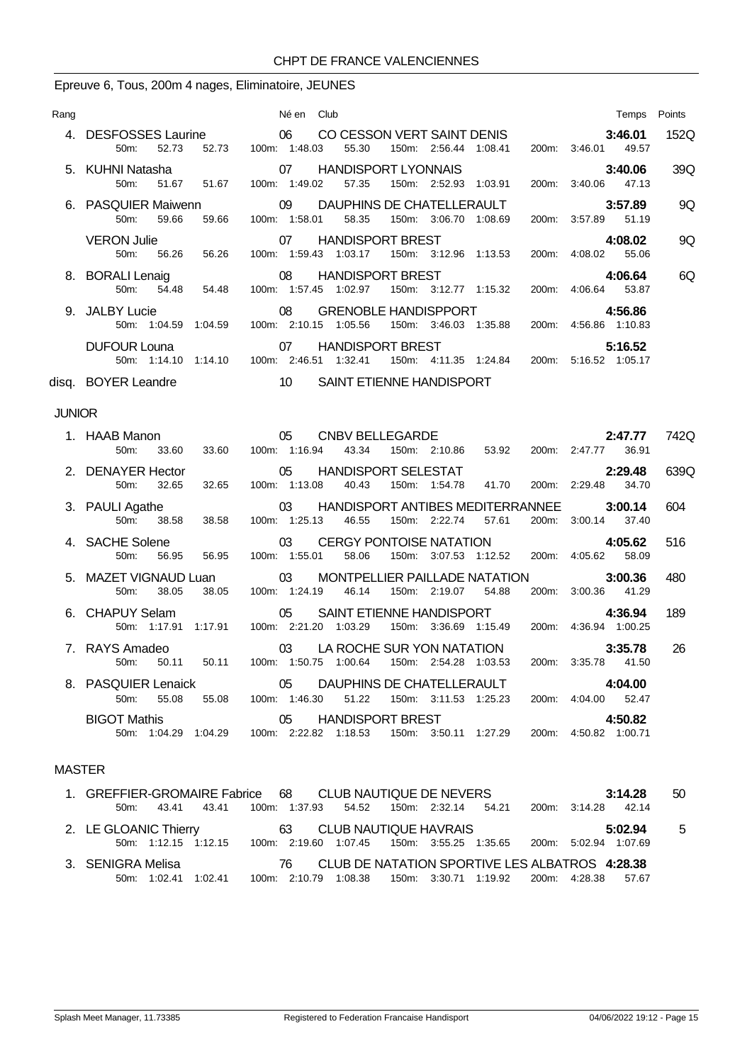#### Epreuve 6, Tous, 200m 4 nages, Eliminatoire, JEUNES

| Rang          |                                                          | Né en Club                                                                                                                           | Temps Points                              |     |
|---------------|----------------------------------------------------------|--------------------------------------------------------------------------------------------------------------------------------------|-------------------------------------------|-----|
|               | 4. DESFOSSES Laurine 06<br>52.73<br>50m:                 | CO CESSON VERT SAINT DENIS<br>150m: 2:56.44 1:08.41<br>55.30<br>52.73  100m: 1:48.03                                                 | 3:46.01<br>152Q<br>200m: 3:46.01 49.57    |     |
|               | 5. KUHNI Natasha<br>$50m$ :<br>51.67<br>51.67            | 07<br><b>HANDISPORT LYONNAIS</b><br>100m: 1:49.02<br>57.35<br>150m: 2:52.93 1:03.91                                                  | 3:40.06<br>200m: 3:40.06 47.13            | 39Q |
|               | 6. PASQUIER Maiwenn<br>50m: 59.66<br>59.66               | $\sim$ 09<br>DAUPHINS DE CHATELLERAULT<br>100m: 1:58.01 58.35<br>150m: 3:06.70 1:08.69                                               | 3:57.89<br>200m: 3:57.89 51.19            | 9Q  |
|               | <b>VERON Julie</b><br>50m:<br>56.26<br>56.26             | <b>HANDISPORT BREST</b><br>07<br>100m: 1:59.43  1:03.17  150m: 3:12.96  1:13.53                                                      | 4:08.02<br>200m: 4:08.02 55.06            | 9Q  |
|               | 8. BORALI Lenaig<br>50m: 54.48 54.48                     | 08<br><b>HANDISPORT BREST</b><br>100m: 1:57.45 1:02.97 150m: 3:12.77 1:15.32                                                         | 4:06.64<br>200m: 4:06.64 53.87            | 6Q  |
|               | 9. JALBY Lucie                                           | 08<br><b>GRENOBLE HANDISPPORT</b><br>150m: 3:46.03  1:35.88  200m: 4:56.86  1:10.83<br>50m: 1:04.59  1:04.59  100m: 2:10.15  1:05.56 | 4:56.86                                   |     |
|               | <b>DUFOUR Louna</b>                                      | $\sim$ 07<br><b>HANDISPORT BREST</b><br>50m: 1:14.10  1:14.10  100m: 2:46.51  1:32.41  150m: 4:11.35  1:24.84                        | 5:16.52<br>200m: 5:16.52 1:05.17          |     |
|               | disq. BOYER Leandre 10                                   | SAINT ETIENNE HANDISPORT                                                                                                             |                                           |     |
| <b>JUNIOR</b> |                                                          |                                                                                                                                      |                                           |     |
|               | $\sim$ 05<br>1. HAAB Manon<br>50m:<br>33.60<br>33.60     | CNBV BELLEGARDE <b>SAMPLE</b><br>100m: 1:16.94<br>150m: 2:10.86 53.92<br>43.34                                                       | 742Q<br>2:47.77<br>200m: 2:47.77<br>36.91 |     |
|               | 2. DENAYER Hector<br>32.65<br>50 <sub>m</sub> :<br>32.65 | HANDISPORT SELESTAT<br>$\sim$ 05<br>41.70<br>100m: 1:13.08<br>40.43<br>150m: 1:54.78                                                 | 2:29.48<br>639Q<br>200m: 2:29.48<br>34.70 |     |
|               | 3. PAULI Agathe<br>50m: 38.58                            | HANDISPORT ANTIBES MEDITERRANNEE<br>03<br>38.58 100m: 1:25.13<br>150m: 2:22.74 57.61<br>46.55                                        | 604<br>3:00.14<br>200m: 3:00.14<br>37.40  |     |
|               | 4. SACHE Solene<br>50m:<br>56.95<br>56.95                | CERGY PONTOISE NATATION<br>03<br>100m: 1:55.01<br>58.06                                                                              | 4:05.62<br>516<br>58.09                   |     |
|               | 5. MAZET VIGNAUD Luan 03                                 | MONTPELLIER PAILLADE NATATION                                                                                                        | 3:00.36<br>480                            |     |

| 50m: 1:17.91 1:17.91                            | 100m: 2:21.20 1:03.29<br>150m: 3:36.69 1:15.49                              | 200m: 4:36.94 1:00.25          |     |
|-------------------------------------------------|-----------------------------------------------------------------------------|--------------------------------|-----|
| 6. CHAPUY Selam                                 | 05 SAINT ETIENNE HANDISPORT                                                 |                                |     |
|                                                 |                                                                             | 4:36.94                        | 189 |
| 5. MAZET VIGNAUD Luan<br>38.05<br>38.05<br>50m: | 03 MONTPELLIER PAILLADE NATATION<br>100m: 1:24.19 46.14 150m: 2:19.07 54.88 | 3:00.36<br>200m: 3:00.36 41.29 | 480 |
| 50.JH L                                         |                                                                             |                                |     |

# MASTER

| 1. GREFFIER-GROMAIRE Fabrice 68 CLUB NAUTIQUE DE NEVERS |                                                                   |  | 3:14.28 | 50 |
|---------------------------------------------------------|-------------------------------------------------------------------|--|---------|----|
| 43.41 43.41<br>50m                                      | 100m: 1:37.93 54.52 150m: 2:32.14 54.21 200m: 3:14.28 42.14       |  |         |    |
| 2. LE GLOANIC Thierry                                   | 63 CLUB NAUTIQUE HAVRAIS                                          |  | 5:02.94 | -5 |
| 50m: 1:12.15 1:12.15                                    | 100m: 2:19.60 1:07.45 150m: 3:55.25 1:35.65 200m: 5:02.94 1:07.69 |  |         |    |
| 3. SENIGRA Melisa                                       | 76 CLUB DE NATATION SPORTIVE LES ALBATROS 4:28.38                 |  |         |    |
| 50m: 1:02.41 1:02.41                                    | 100m: 2:10.79 1:08.38 150m: 3:30.71 1:19.92 200m: 4:28.38 57.67   |  |         |    |

50m: 50.11 50.11 100m: 1:50.75 1:00.64 150m: 2:54.28 1:03.53 200m: 3:35.78 41.50

50m: 55.08 55.08 100m: 1:46.30 51.22 150m: 3:11.53 1:25.23 200m: 4:04.00 52.47 BIGOT Mathis 05 HANDISPORT BREST **4:50.82** 50m: 1:04.29 1:04.29 100m: 2:22.82 1:18.53 150m: 3:50.11 1:27.29 200m: 4:50.82 1:00.71

8. PASQUIER Lenaick 05 DAUPHINS DE CHATELLERAULT **4:04.00**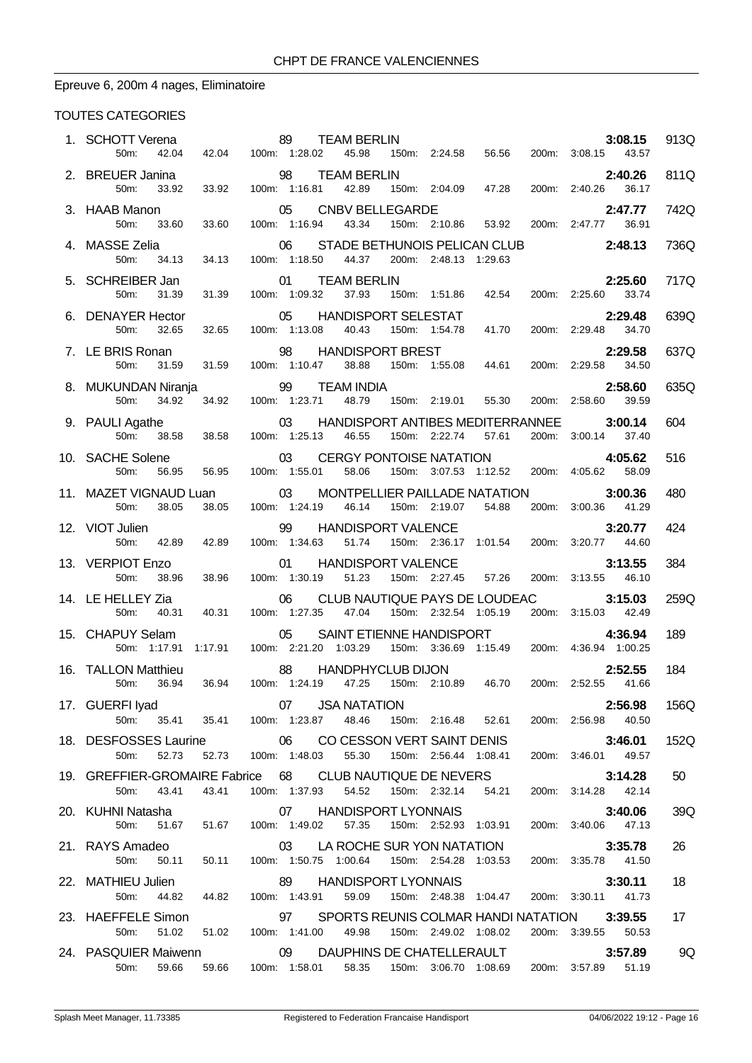# Epreuve 6, 200m 4 nages, Eliminatoire

| 1. SCHOTT Verena<br>42.04<br>50m:                                                                                                                             | 89 TEAM BERLIN<br>42.04 100m: 1:28.02 45.98 15                                                                  |               |    |                                         |                       | 150m: 2:24.58  56.56  200m: 3:08.15  43.57                                                      |                     | 3:08.15 | 913Q |
|---------------------------------------------------------------------------------------------------------------------------------------------------------------|-----------------------------------------------------------------------------------------------------------------|---------------|----|-----------------------------------------|-----------------------|-------------------------------------------------------------------------------------------------|---------------------|---------|------|
| 2. BREUER Janina                                                                                                                                              |                                                                                                                 |               |    |                                         |                       |                                                                                                 |                     | 2:40.26 | 811Q |
| 50m:                                                                                                                                                          |                                                                                                                 |               |    |                                         |                       |                                                                                                 |                     |         |      |
| 3. HAAB Manon<br>33.60<br>50m:                                                                                                                                | 33.60                                                                                                           |               |    |                                         |                       | 05 CNBV BELLEGARDE<br>100m: 1:16.94  43.34  150m: 2:10.86  53.92  200m: 2:47.77  36.91          |                     | 2:47.77 | 742Q |
| 4. MASSE Zelia<br>50m:<br>34.13                                                                                                                               | 34.13                                                                                                           | 100m: 1:18.50 | 06 | 44.37                                   | 200m: 2:48.13 1:29.63 | STADE BETHUNOIS PELICAN CLUB                                                                    | 2:48.13             |         | 736Q |
| 5. SCHREIBER Jan<br>50m:<br>31.39                                                                                                                             | 01 TEA<br>31.39 100m: 1:09.32                                                                                   |               |    | 01 TEAM BERLIN                          |                       | <b>2:25.60</b><br>37.93   150m: 1:51.86   42.54   200m: 2:25.60   37.93   150m: 1:51.86   42.54 |                     | 2:25.60 | 717Q |
| 6. DENAYER Hector<br>32.65<br>50m:                                                                                                                            | 32.65                                                                                                           |               |    | 100m: 1:13.08  40.43  150m: 1:54.78     |                       | 05 HANDISPORT SELESTAT<br>41.70                                                                 | 200m: 2:29.48 34.70 | 2:29.48 | 639Q |
| 7. LE BRIS Ronan                                                                                                                                              |                                                                                                                 |               | 98 | <b>HANDISPORT BREST</b>                 |                       | 2:29.58<br>150m: 1:55.08 44.61 200m: 2:29.58 34.50                                              |                     |         | 637Q |
| 50m:<br>31.59                                                                                                                                                 | 31.59 100m: 1:10.47                                                                                             |               |    | 38.88                                   |                       |                                                                                                 |                     |         | 635Q |
|                                                                                                                                                               |                                                                                                                 |               |    |                                         |                       |                                                                                                 |                     |         |      |
| 9. PAULI Agathe<br>38.58<br>50m:                                                                                                                              | 38.58                                                                                                           |               |    | 100m: 1:25.13 46.55 150m: 2:22.74 57.61 |                       | 03 HANDISPORT ANTIBES MEDITERRANNEE 3:00.14                                                     | 200m: 3:00.14 37.40 |         | 604  |
| 10. SACHE Solene<br>50m:<br>56.95                                                                                                                             | 56.95  100m: 1:55.01  58.06                                                                                     |               | 03 |                                         |                       | CERGY PONTOISE NATATION 4:05.62<br>55.01 58.06 150m: 3:07.53 1:12.52 200m: 4:05.62 58.09        |                     |         | 516  |
| <b>11. MAZET VIGNAUD Luan</b> 03 MONTPELLIER PAILLADE NATATION <b>3:00.36</b><br>50m: 38.05 38.05 100m: 1:24.19 46.14 150m: 2:19.07 54.88 200m: 3:00.36 41.29 |                                                                                                                 |               |    |                                         |                       |                                                                                                 | 200m: 3:00.36 41.29 |         | 480  |
| 12. VIOT Julien<br>50m:<br>42.89                                                                                                                              | 42.89                                                                                                           | 100m: 1:34.63 |    | 99 HANDISPORT VALENCE                   |                       | 51.74  150m: 2:36.17  1:01.54  200m: 3:20.77  44.60                                             |                     | 3:20.77 | 424  |
| 13. VERPIOT Enzo<br>50m:<br>38.96                                                                                                                             | 38.96                                                                                                           | 100m: 1:30.19 | 01 | HANDISPORT VALENCE<br>51.23             |                       | 150m: 2:27.45 57.26 200m: 3:13.55 46.10                                                         |                     | 3:13.55 | 384  |
| 14. LE HELLEY Zia                                                                                                                                             | 06 CLUB NAUTIQUE PAYS DE LOUDEAC 3:15.03<br>40.31 100m: 1:27.35 47.04 150m: 2:32.54 1:05.19 200m: 3:15.03 42.49 |               |    |                                         |                       |                                                                                                 |                     |         | 259Q |
| 50m: 40.31<br>15. CHAPUY Selam                                                                                                                                |                                                                                                                 |               | 05 |                                         |                       | SAINT ETIENNE HANDISPORT                                                                        |                     | 4:36.94 | 189  |
| 50m: 1:17.91                                                                                                                                                  | 1:17.91  100m: 2:21.20  1:03.29  150m: 3:36.69  1:15.49  200m: 4:36.94  1:00.25                                 |               |    |                                         |                       |                                                                                                 |                     |         |      |
| 16. TALLON Matthieu<br>50m:<br>36.94                                                                                                                          | 88 HANDPHYCLUB DIJON 2:52.55<br>36.94 100m: 1:24.19 47.25 150m: 2:10.89 46.70 200m: 2:52.55 41.66               |               |    |                                         |                       |                                                                                                 |                     | 2:52.55 | 184  |
| 17. GUERFI Iyad 07 JSA NATATION<br>50m: 35.41 35.41 100m: 1:23.87 48.46 150m: 2:16.48 52.61 200m: 2:56.98 40.50                                               |                                                                                                                 |               |    |                                         |                       |                                                                                                 |                     | 2:56.98 | 156Q |
| 18. DESFOSSES Laurine 66 CO CESSON VERT SAINT DENIS 3:46.01<br>50m: 52.73                                                                                     | 52.73  100m: 1:48.03  55.30  150m: 2:56.44  1:08.41  200m: 3:46.01  49.57                                       |               |    |                                         |                       |                                                                                                 |                     |         | 152Q |
| 19. GREFFIER-GROMAIRE Fabrice 68 CLUB NAUTIQUE DE NEVERS 3:14.28<br>50m: 43.41 43.41 100m: 1:37.93 54.52 150m: 2:32.14 54.21 200m: 3:14.28 42.14              |                                                                                                                 |               |    |                                         |                       |                                                                                                 |                     |         | 50   |
|                                                                                                                                                               |                                                                                                                 |               |    |                                         |                       |                                                                                                 | 200m: 3:14.28 42.14 |         |      |
|                                                                                                                                                               |                                                                                                                 |               |    |                                         |                       |                                                                                                 |                     |         | 39Q  |
| 21. RAYS Amadeo <b>3:35.78</b><br>50.11 50.11 100m: 1:50.75 1:00.64 150m: 2:54.28 1:03.53 200m: 3:35.78 41.50                                                 |                                                                                                                 |               |    |                                         |                       |                                                                                                 |                     |         | 26   |
| 22. MATHIEU Julien 69 HANDISPORT LYONNAIS<br>50m:                                                                                                             | 44.82  44.82  100m: 1:43.91  59.09  150m: 2:48.38  1:04.47  200m: 3:30.11  41.73                                |               |    |                                         |                       |                                                                                                 |                     | 3:30.11 | 18   |
| 23. HAEFFELE Simon<br>50m:                                                                                                                                    | 51.02 51.02 100m: 1:41.00 49.98 150m: 2:49.02 1:08.02 200m: 3:39.55 50.53                                       |               |    |                                         |                       | 97 SPORTS REUNIS COLMAR HANDI NATATION 3:39.55                                                  |                     |         | 17   |
| 24. PASQUIER Maiwenn <b>69 DAUPHINS DE CHATELLERAULT</b>                                                                                                      |                                                                                                                 |               |    |                                         |                       |                                                                                                 |                     | 3:57.89 | 9Q   |
| 50m: 59.66 59.66 100m: 1:58.01 58.35 150m: 3:06.70 1:08.69 200m: 3:57.89 51.19                                                                                |                                                                                                                 |               |    |                                         |                       |                                                                                                 |                     |         |      |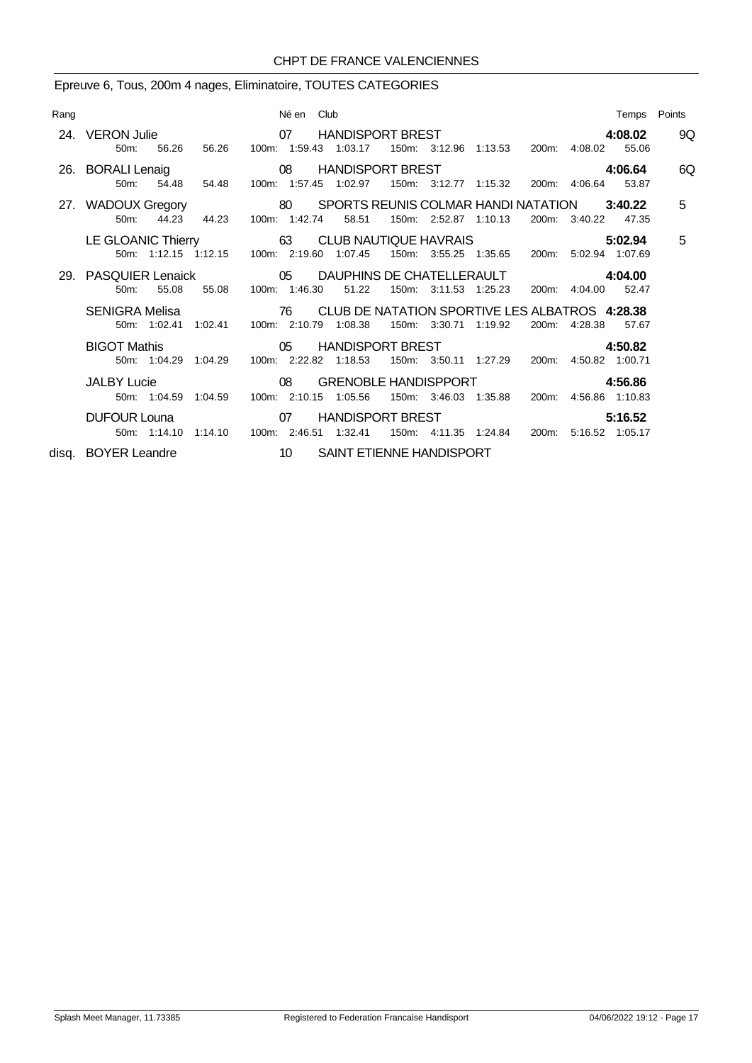# Epreuve 6, Tous, 200m 4 nages, Eliminatoire, TOUTES CATEGORIES

| Rang |                                                                               | Né en Club    | Temps Points                                                                                                                                                                                                                                                                                                |    |
|------|-------------------------------------------------------------------------------|---------------|-------------------------------------------------------------------------------------------------------------------------------------------------------------------------------------------------------------------------------------------------------------------------------------------------------------|----|
|      | $50m$ :                                                                       |               | 24. VERON Julie <b>1988 120 COVERTS OF THANDISPORT BREST</b><br>4:08.02<br>56.26 56.26 100m: 1:59.43 1:03.17 150m: 3:12.96 1:13.53 200m: 4:08.02 55.06                                                                                                                                                      | 9Q |
|      | 26. BORALI Lenaig 08<br>50m: 54.48 54.48                                      |               | HANDISPORT BREST FOR THE STATE STATES TO A STATE STATES.<br>4:06.64<br>150m: 3:12.77 1:15.32<br>100m: 1:57.45 1:02.97<br>200m: 4:06.64 53.87                                                                                                                                                                | 6Q |
|      | 44.23 44.23<br>$50m$ :                                                        | 100m: 1:42.74 | 27. WADOUX Gregory 80 SPORTS REUNIS COLMAR HANDI NATATION 3:40.22<br>58.51<br>150m: 2:52.87 1:10.13<br>200m: 3:40.22<br>47.35                                                                                                                                                                               | 5  |
|      |                                                                               |               | LE GLOANIC Thierry 63 CLUB NAUTIQUE HAVRAIS<br>5:02.94<br>50m: 1:12.15 1:12.15 100m: 2:19.60 1:07.45 150m: 3:55.25 1:35.65 200m: 5:02.94 1:07.69                                                                                                                                                            | 5  |
|      | 55.08<br>$50m$ :                                                              |               | 29. PASQUIER Lenaick  29. PASQUIER Lenaick  29. PASQUIER Lenaick  29. PASQUIER Lenaick  29. PASQUIER Lenaick  29. PASQUIER Lenaick  29. PASQUIER Lenaick  29. PASQUIER Lenaick  29. PASQUIER Lenaick  29. PASQUIER Lenaick  29<br>55.08 100m: 1:46.30 51.22<br>150m: 3:11.53 1:25.23<br>200m: 4:04.00 52.47 |    |
|      | 50m: 1:02.41 1:02.41 100m: 2:10.79 1:08.38                                    |               | SENIGRA Melisa <b>328.38</b> 76 CLUB DE NATATION SPORTIVE LES ALBATROS 4:28.38<br>150m: 3:30.71 1:19.92<br>200m: 4:28.38 57.67                                                                                                                                                                              |    |
|      | <b>BIGOT Mathis</b>                                                           |               | 05 HANDISPORT BREST<br>4:50.82<br>50m: 1:04.29 1:04.29 100m: 2:22.82 1:18.53 150m: 3:50.11 1:27.29 200m: 4:50.82 1:00.71                                                                                                                                                                                    |    |
|      | $\sim$ 08<br><b>JALBY Lucie</b><br>50m: 1:04.59 1:04.59 100m: 2:10.15 1:05.56 |               | GRENOBLE HANDISPPORT 4:56.86<br>150m: 3:46.03 1:35.88<br>200m: 4:56.86 1:10.83                                                                                                                                                                                                                              |    |
|      | DUFOUR Louna 07<br>50m: 1:14.10 1:14.10 100m: 2:46.51 1:32.41                 |               | HANDISPORT BREST FOR THE STATE STATES<br>5:16.52<br>200m: 5:16.52 1:05.17<br>150m: 4:11.35 1:24.84                                                                                                                                                                                                          |    |
|      |                                                                               |               | disq. BOYER Leandre 10 SAINT ETIENNE HANDISPORT                                                                                                                                                                                                                                                             |    |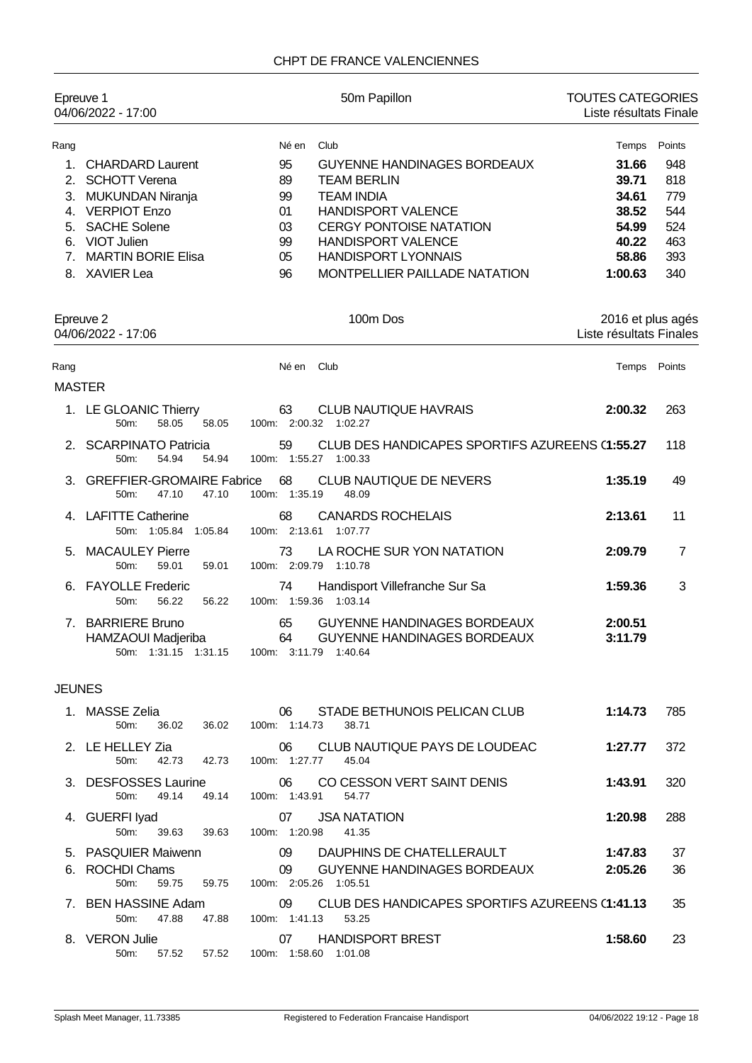| Epreuve 1                    | 04/06/2022 - 17:00                                                                                                                                                       | 50m Papillon                                                                                                                                                                                                                                                                                              | <b>TOUTES CATEGORIES</b><br>Liste résultats Finale                              |                                                                |
|------------------------------|--------------------------------------------------------------------------------------------------------------------------------------------------------------------------|-----------------------------------------------------------------------------------------------------------------------------------------------------------------------------------------------------------------------------------------------------------------------------------------------------------|---------------------------------------------------------------------------------|----------------------------------------------------------------|
| Rang<br>1.<br>7 <sub>1</sub> | <b>CHARDARD Laurent</b><br>2. SCHOTT Verena<br>3. MUKUNDAN Niranja<br>4. VERPIOT Enzo<br>5. SACHE Solene<br>6. VIOT Julien<br><b>MARTIN BORIE Elisa</b><br>8. XAVIER Lea | Né en<br>Club<br>95<br><b>GUYENNE HANDINAGES BORDEAUX</b><br>89<br><b>TEAM BERLIN</b><br>99<br><b>TEAM INDIA</b><br>01<br><b>HANDISPORT VALENCE</b><br>03<br><b>CERGY PONTOISE NATATION</b><br>99<br><b>HANDISPORT VALENCE</b><br><b>HANDISPORT LYONNAIS</b><br>05<br>96<br>MONTPELLIER PAILLADE NATATION | Temps<br>31.66<br>39.71<br>34.61<br>38.52<br>54.99<br>40.22<br>58.86<br>1:00.63 | Points<br>948<br>818<br>779<br>544<br>524<br>463<br>393<br>340 |
|                              | Epreuve 2<br>04/06/2022 - 17:06                                                                                                                                          | 100m Dos                                                                                                                                                                                                                                                                                                  | 2016 et plus agés<br>Liste résultats Finales                                    |                                                                |
| Rang                         |                                                                                                                                                                          | Club<br>Né en                                                                                                                                                                                                                                                                                             | Temps                                                                           | Points                                                         |
| <b>MASTER</b>                |                                                                                                                                                                          |                                                                                                                                                                                                                                                                                                           |                                                                                 |                                                                |
|                              | 1. LE GLOANIC Thierry<br>50m:<br>58.05<br>58.05                                                                                                                          | 63<br><b>CLUB NAUTIQUE HAVRAIS</b><br>100m: 2:00.32 1:02.27                                                                                                                                                                                                                                               | 2:00.32                                                                         | 263                                                            |
|                              | 2. SCARPINATO Patricia<br>50m:<br>54.94<br>54.94                                                                                                                         | CLUB DES HANDICAPES SPORTIFS AZUREENS (1:55.27<br>59<br>100m: 1:55.27 1:00.33                                                                                                                                                                                                                             |                                                                                 | 118                                                            |
|                              | 3. GREFFIER-GROMAIRE Fabrice<br>50m:<br>47.10<br>47.10                                                                                                                   | 68<br>CLUB NAUTIQUE DE NEVERS<br>100m: 1:35.19<br>48.09                                                                                                                                                                                                                                                   | 1:35.19                                                                         | 49                                                             |
|                              | 4. LAFITTE Catherine<br>50m: 1:05.84 1:05.84                                                                                                                             | 68<br><b>CANARDS ROCHELAIS</b><br>100m: 2:13.61<br>1:07.77                                                                                                                                                                                                                                                | 2:13.61                                                                         | 11                                                             |
| 5.                           | <b>MACAULEY Pierre</b><br>50m:<br>59.01<br>59.01                                                                                                                         | 73<br>LA ROCHE SUR YON NATATION<br>100m: 2:09.79 1:10.78                                                                                                                                                                                                                                                  | 2:09.79                                                                         | 7                                                              |
|                              | <b>FAYOLLE Frederic</b><br>50m:<br>56.22<br>56.22                                                                                                                        | 74<br>Handisport Villefranche Sur Sa<br>100m: 1:59.36 1:03.14                                                                                                                                                                                                                                             | 1:59.36                                                                         | 3                                                              |
| 7.                           | <b>BARRIERE Bruno</b><br>HAMZAOUI Madjeriba<br>50m: 1:31.15 1:31.15 100m: 3:11.79 1:40.64                                                                                | 65<br><b>GUYENNE HANDINAGES BORDEAUX</b><br>64<br><b>GUYENNE HANDINAGES BORDEAUX</b>                                                                                                                                                                                                                      | 2:00.51<br>3:11.79                                                              |                                                                |
| <b>JEUNES</b>                |                                                                                                                                                                          |                                                                                                                                                                                                                                                                                                           |                                                                                 |                                                                |
|                              | 1. MASSE Zelia<br>36.02<br>50 <sub>m</sub> :<br>36.02                                                                                                                    | STADE BETHUNOIS PELICAN CLUB<br>06<br>100m: 1:14.73<br>38.71                                                                                                                                                                                                                                              | 1:14.73                                                                         | 785                                                            |
|                              | 2. LE HELLEY Zia<br>50m:<br>42.73<br>42.73                                                                                                                               | CLUB NAUTIQUE PAYS DE LOUDEAC<br>06<br>100m: 1:27.77<br>45.04                                                                                                                                                                                                                                             | 1:27.77                                                                         | 372                                                            |
|                              | 3. DESFOSSES Laurine<br>50m:<br>49.14<br>49.14                                                                                                                           | 06<br>CO CESSON VERT SAINT DENIS<br>100m: 1:43.91<br>54.77                                                                                                                                                                                                                                                | 1:43.91                                                                         | 320                                                            |
|                              | 4. GUERFI Iyad<br>50 <sub>m</sub> :<br>39.63<br>39.63                                                                                                                    | 07<br><b>JSA NATATION</b><br>100m: 1:20.98<br>41.35                                                                                                                                                                                                                                                       | 1:20.98                                                                         | 288                                                            |
|                              | 5. PASQUIER Maiwenn                                                                                                                                                      | 09 DAUPHINS DE CHATELLERAULT                                                                                                                                                                                                                                                                              | 1:47.83                                                                         | 37                                                             |
|                              | 6. ROCHDI Chams<br>59.75<br>59.75<br>50m:                                                                                                                                | 09 GUYENNE HANDINAGES BORDEAUX<br>100m: 2:05.26 1:05.51                                                                                                                                                                                                                                                   | 2:05.26                                                                         | 36                                                             |
|                              | 7. BEN HASSINE Adam<br>50m:<br>47.88<br>47.88                                                                                                                            | CLUB DES HANDICAPES SPORTIFS AZUREENS (1:41.13<br>09<br>100m: 1:41.13<br>53.25                                                                                                                                                                                                                            |                                                                                 | 35                                                             |
|                              | 8. VERON Julie<br>50m:<br>57.52<br>57.52                                                                                                                                 | <b>HANDISPORT BREST</b><br>07<br>100m: 1:58.60 1:01.08                                                                                                                                                                                                                                                    | 1:58.60                                                                         | 23                                                             |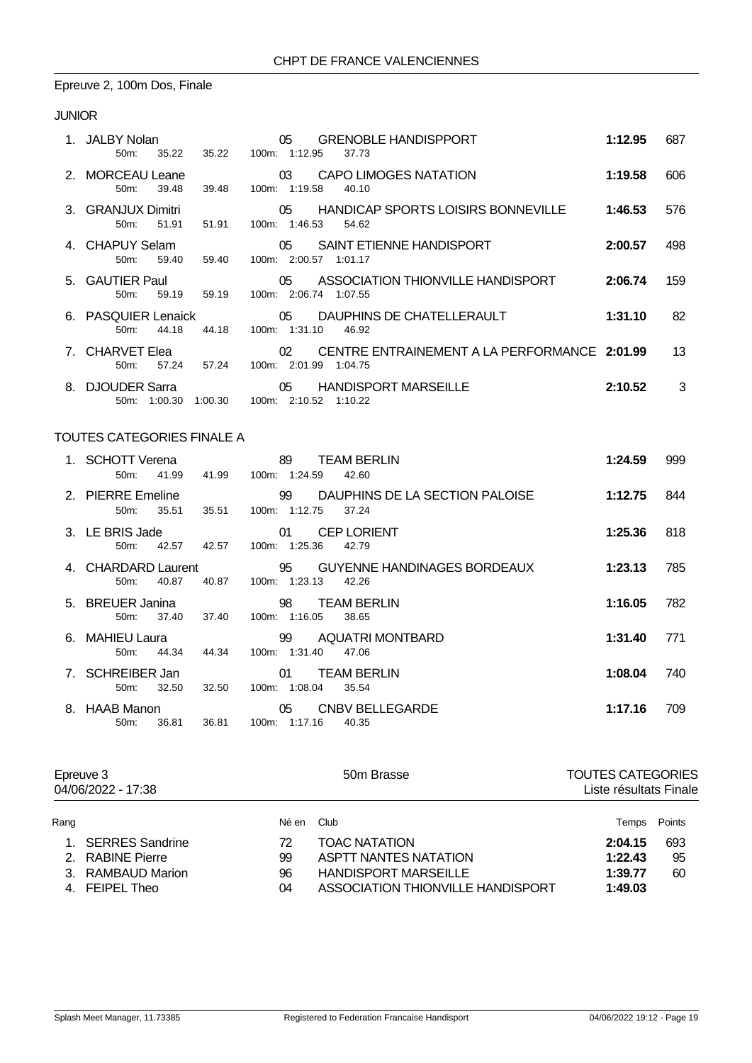# Epreuve 2, 100m Dos, Finale

### JUNIOR

|    | 1. JALBY Nolan<br>35.22<br>$50m$ :   | 35.22   | 05.<br><b>GRENOBLE HANDISPPORT</b><br>100m: 1:12.95<br>37.73                | 1:12.95 | 687 |
|----|--------------------------------------|---------|-----------------------------------------------------------------------------|---------|-----|
|    | 2. MORCEAU Leane<br>39.48<br>50m:    | 39.48   | CAPO LIMOGES NATATION<br>03<br>100m: 1:19.58<br>40.10                       | 1:19.58 | 606 |
|    | 3. GRANJUX Dimitri<br>51.91<br>50m:  | 51.91   | HANDICAP SPORTS LOISIRS BONNEVILLE<br>05<br>100m: 1:46.53 54.62             | 1:46.53 | 576 |
|    | 4. CHAPUY Selam<br>59.40<br>$50m$ :  | 59.40   | 05<br>SAINT ETIENNE HANDISPORT<br>100m: 2:00.57 1:01.17                     | 2:00.57 | 498 |
|    | 5. GAUTIER Paul<br>59.19<br>$50m$ :  | 59.19   | 05<br>ASSOCIATION THIONVILLE HANDISPORT<br>100m: 2:06.74 1:07.55            | 2:06.74 | 159 |
|    | 6. PASQUIER Lenaick<br>44.18<br>50m: | 44.18   | 05 DAUPHINS DE CHATELLERAULT<br>100m: 1:31.10<br>46.92                      | 1:31.10 | 82  |
|    | 7. CHARVET Elea<br>57.24<br>$50m$ :  | 57.24   | CENTRE ENTRAINEMENT A LA PERFORMANCE 2:01.99<br>02<br>100m: 2:01.99 1:04.75 |         | 13  |
| 8. | <b>DJOUDER Sarra</b><br>50m: 1:00.30 | 1:00.30 | 05<br><b>HANDISPORT MARSEILLE</b><br>100m: 2:10.52 1:10.22                  | 2:10.52 | 3   |

### TOUTES CATEGORIES FINALE A

| 1. SCHOTT Verena<br>41.99<br>50m        | 41.99 | 89<br><b>TEAM BERLIN</b><br>100m: 1:24.59<br>42.60          | 1:24.59 | 999 |
|-----------------------------------------|-------|-------------------------------------------------------------|---------|-----|
| 2. PIERRE Emeline<br>35.51<br>$50m$ :   | 35.51 | 99 DAUPHINS DE LA SECTION PALOISE<br>100m: 1:12.75<br>37.24 | 1:12.75 | 844 |
| 3. LE BRIS Jade<br>42.57<br>$50m$ :     | 42.57 | <b>CEP LORIENT</b><br>01<br>100m: 1:25.36<br>42.79          | 1:25.36 | 818 |
| 4. CHARDARD Laurent<br>40.87<br>$50m$ : | 40.87 | 100m: 1:23.13<br>42.26                                      | 1:23.13 | 785 |
| 5. BREUER Janina<br>37.40<br>$50m$ :    | 37.40 | 98<br><b>TEAM BERLIN</b><br>100m: 1:16.05<br>38.65          | 1:16.05 | 782 |
| 6. MAHIEU Laura<br>44.34<br>50m:        | 44.34 | AQUATRI MONTBARD<br>99<br>100m: 1:31.40<br>47.06            | 1:31.40 | 771 |
| 7. SCHREIBER Jan<br>32.50<br>50m        | 32.50 | <b>TEAM BERLIN</b><br>01<br>100m: 1:08.04<br>35.54          | 1:08.04 | 740 |
| 8. HAAB Manon<br>$50m$ :<br>36.81       | 36.81 | 05<br>CNBV BELLEGARDE<br>100m: 1:17.16<br>40.35             | 1:17.16 | 709 |

|      | Epreuve 3<br>04/06/2022 - 17:38 |            | 50m Brasse                        | <b>TOUTES CATEGORIES</b><br>Liste résultats Finale |        |  |
|------|---------------------------------|------------|-----------------------------------|----------------------------------------------------|--------|--|
| Rang |                                 | Né en Club |                                   | Temps                                              | Points |  |
|      | 1. SERRES Sandrine              | 72         | <b>TOAC NATATION</b>              | 2:04.15                                            | 693    |  |
|      | 2. RABINE Pierre                | 99         | <b>ASPTT NANTES NATATION</b>      | 1:22.43                                            | 95     |  |
|      | 3. RAMBAUD Marion               | 96         | <b>HANDISPORT MARSEILLE</b>       | 1:39.77                                            | 60     |  |
|      | 4. FEIPEL Theo                  | 04         | ASSOCIATION THIONVILLE HANDISPORT | 1:49.03                                            |        |  |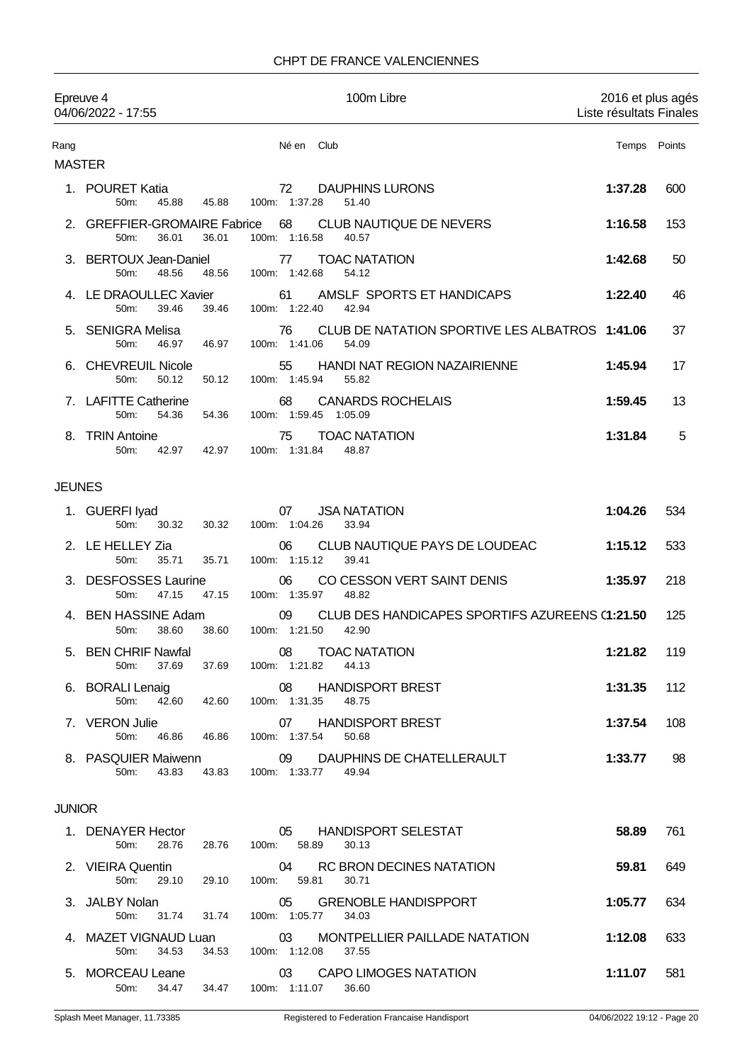| Epreuve 4<br>04/06/2022 - 17:55 |                                                 |       | 100m Libre                                                                     | 2016 et plus agés<br>Liste résultats Finales |        |  |  |
|---------------------------------|-------------------------------------------------|-------|--------------------------------------------------------------------------------|----------------------------------------------|--------|--|--|
| Rang<br><b>MASTER</b>           |                                                 |       | Né en<br>Club                                                                  | Temps                                        | Points |  |  |
|                                 | 1. POURET Katia<br>50m:<br>45.88                | 45.88 | 72<br><b>DAUPHINS LURONS</b><br>100m: 1:37.28<br>51.40                         | 1:37.28                                      | 600    |  |  |
|                                 | 2. GREFFIER-GROMAIRE Fabrice<br>50m:<br>36.01   | 36.01 | 68<br>CLUB NAUTIQUE DE NEVERS<br>100m: 1:16.58<br>40.57                        | 1:16.58                                      | 153    |  |  |
| З.                              | <b>BERTOUX Jean-Daniel</b><br>50m:<br>48.56     | 48.56 | <b>TOAC NATATION</b><br>77<br>100m: 1:42.68<br>54.12                           | 1:42.68                                      | 50     |  |  |
|                                 | 4. LE DRAOULLEC Xavier<br>50m:<br>39.46         | 39.46 | AMSLF SPORTS ET HANDICAPS<br>61<br>100m: 1:22.40<br>42.94                      | 1:22.40                                      | 46     |  |  |
| 5.                              | SENIGRA Melisa<br>50m:<br>46.97                 | 46.97 | CLUB DE NATATION SPORTIVE LES ALBATROS 1:41.06<br>76<br>100m: 1:41.06<br>54.09 |                                              | 37     |  |  |
|                                 | <b>CHEVREUIL Nicole</b><br>50m:<br>50.12        | 50.12 | HANDI NAT REGION NAZAIRIENNE<br>55<br>100m: 1:45.94<br>55.82                   | 1:45.94                                      | 17     |  |  |
|                                 | <b>LAFITTE Catherine</b><br>50m:<br>54.36       | 54.36 | <b>CANARDS ROCHELAIS</b><br>68<br>100m: 1:59.45<br>1:05.09                     | 1:59.45                                      | 13     |  |  |
| 8.                              | <b>TRIN Antoine</b><br>50m:<br>42.97            | 42.97 | <b>TOAC NATATION</b><br>75<br>100m: 1:31.84<br>48.87                           | 1:31.84                                      | 5      |  |  |
| <b>JEUNES</b>                   |                                                 |       |                                                                                |                                              |        |  |  |
|                                 | 1. GUERFI Iyad<br>50m:<br>30.32                 | 30.32 | <b>JSA NATATION</b><br>07<br>100m: 1:04.26<br>33.94                            | 1:04.26                                      | 534    |  |  |
|                                 | 2. LE HELLEY Zia<br>50m:<br>35.71               | 35.71 | 06<br>CLUB NAUTIQUE PAYS DE LOUDEAC<br>100m: 1:15.12<br>39.41                  | 1:15.12                                      | 533    |  |  |
| 3.                              | <b>DESFOSSES Laurine</b><br>50m:<br>47.15       | 47.15 | 06<br>CO CESSON VERT SAINT DENIS<br>100m: 1:35.97<br>48.82                     | 1:35.97                                      | 218    |  |  |
|                                 | 4. BEN HASSINE Adam<br>50m:<br>38.60            | 38.60 | CLUB DES HANDICAPES SPORTIFS AZUREENS (1:21.50<br>09<br>100m: 1:21.50<br>42.90 |                                              | 125    |  |  |
|                                 | 5. BEN CHRIF Nawfal<br>50m:<br>37.69            | 37.69 | 08 TOAC NATATION<br>100m: 1:21.82<br>44.13                                     | 1:21.82                                      | 119    |  |  |
|                                 | 6. BORALI Lenaig<br>42.60 42.60<br>50m:         |       | <b>HANDISPORT BREST</b><br>08<br>100m: 1:31.35<br>48.75                        | 1:31.35                                      | 112    |  |  |
|                                 | 7. VERON Julie<br>46.86<br>50m:                 | 46.86 | 07 HANDISPORT BREST<br>100m: 1:37.54<br>50.68                                  | 1:37.54                                      | 108    |  |  |
|                                 | 8. PASQUIER Maiwenn<br>43.83<br>50 <sub>m</sub> | 43.83 | 09 DAUPHINS DE CHATELLERAULT<br>100m: 1:33.77<br>49.94                         | 1:33.77                                      | 98     |  |  |
| <b>JUNIOR</b>                   |                                                 |       |                                                                                |                                              |        |  |  |
|                                 | 1. DENAYER Hector<br>28.76<br>50m:              | 28.76 | 05 HANDISPORT SELESTAT<br>100m: 58.89<br>30.13                                 | 58.89                                        | 761    |  |  |
|                                 | 2. VIEIRA Quentin<br>29.10<br>50m:              | 29.10 | 04<br>RC BRON DECINES NATATION<br>100m: 59.81<br>30.71                         | 59.81                                        | 649    |  |  |
|                                 | 3. JALBY Nolan<br>50 <sub>m</sub> :<br>31.74    | 31.74 | 05<br><b>GRENOBLE HANDISPPORT</b><br>100m: 1:05.77<br>34.03                    | 1:05.77                                      | 634    |  |  |
|                                 | 4. MAZET VIGNAUD Luan<br>50m:<br>34.53          | 34.53 | MONTPELLIER PAILLADE NATATION<br>$\sim$ 03<br>100m: 1:12.08<br>37.55           | 1:12.08                                      | 633    |  |  |
|                                 | 5. MORCEAU Leane                                |       | 03<br><b>CAPO LIMOGES NATATION</b>                                             | 1:11.07                                      | 581    |  |  |

50m: 34.47 34.47 100m: 1:11.07 36.60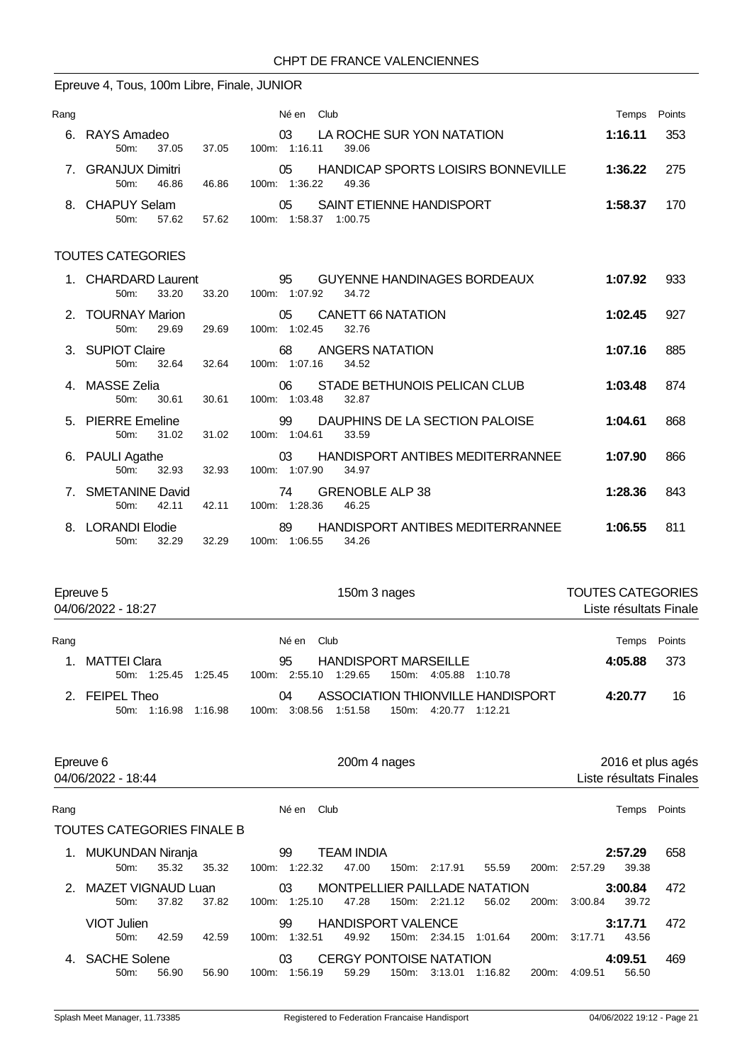# Epreuve 4, Tous, 100m Libre, Finale, JUNIOR

| Rang |                                            |       | Né en<br>Club                                                         | Temps   | Points |
|------|--------------------------------------------|-------|-----------------------------------------------------------------------|---------|--------|
|      | 6. RAYS Amadeo<br>37.05<br>$50m$ :         | 37.05 | LA ROCHE SUR YON NATATION<br>03<br>100m: 1:16.11<br>39.06             | 1:16.11 | 353    |
|      | <b>GRANJUX Dimitri</b><br>46.86<br>$50m$ : | 46.86 | HANDICAP SPORTS LOISIRS BONNEVILLE<br>05<br>1:36.22<br>100m:<br>49.36 | 1:36.22 | -275   |
|      | 8. CHAPUY Selam<br>57.62<br>50m            | 57.62 | SAINT ETIENNE HANDISPORT<br>05<br>1:58.37<br>100m:<br>1:00.75         | 1:58.37 | 170    |

| 1. CHARDARD Laurent<br>33.20<br>50m:   | 33.20 | 95<br>GUYENNE HANDINAGES BORDEAUX<br>100m: 1:07.92<br>34.72      | 1:07.92 | 933 |
|----------------------------------------|-------|------------------------------------------------------------------|---------|-----|
| 2. TOURNAY Marion<br>$50m$ :<br>29.69  | 29.69 | CANETT 66 NATATION<br>05<br>100m: 1:02.45<br>32.76               | 1:02.45 | 927 |
| 3. SUPIOT Claire<br>32.64<br>50m       | 32.64 | ANGERS NATATION<br>68<br>100m: 1:07.16<br>34.52                  | 1:07.16 | 885 |
| 4. MASSE Zelia<br>30.61<br>$50m$ :     | 30.61 | STADE BETHUNOIS PELICAN CLUB<br>06<br>100m: 1:03.48<br>32.87     | 1:03.48 | 874 |
| 5. PIERRE Emeline<br>31.02<br>$50m$ :  | 31.02 | 99<br>DAUPHINS DE LA SECTION PALOISE<br>100m: 1:04.61<br>33.59   | 1:04.61 | 868 |
| 6. PAULI Agathe<br>32.93<br>50m        | 32.93 | HANDISPORT ANTIBES MEDITERRANNEE<br>03<br>100m: 1:07.90<br>34.97 | 1:07.90 | 866 |
| 7. SMETANINE David<br>42.11<br>$50m$ : | 42.11 | <b>GRENOBLE ALP 38</b><br>74<br>100m: 1:28.36<br>46.25           | 1:28.36 | 843 |
| 8. LORANDI Elodie<br>32.29<br>50m:     | 32.29 | HANDISPORT ANTIBES MEDITERRANNEE<br>89<br>100m: 1:06.55<br>34.26 | 1:06.55 | 811 |

|      | Epreuve 5<br>04/06/2022 - 18:27             | 150m 3 nages                                                                              | <b>TOUTES CATEGORIES</b><br>Liste résultats Finale |        |  |  |
|------|---------------------------------------------|-------------------------------------------------------------------------------------------|----------------------------------------------------|--------|--|--|
| Rang |                                             | Né en Club                                                                                | Temps                                              | Points |  |  |
| 1.   | <b>MATTEI Clara</b><br>50m: 1:25.45 1:25.45 | <b>HANDISPORT MARSEILLE</b><br>95<br>100m: 2:55.10 1:29.65<br>150m: 4:05.88 1:10.78       | 4:05.88                                            | -373   |  |  |
|      | 2. FEIPEL Theo<br>50m: 1:16.98 1:16.98      | ASSOCIATION THIONVILLE HANDISPORT<br>04<br>100m: 3:08.56 1:51.58<br>150m: 4:20.77 1:12.21 | 4:20.77                                            | 16     |  |  |

|      | Epreuve 6<br>04/06/2022 - 18:44   |       |       |          | 200m 4 nages           |                                         |       |               |                                        |                    | 2016 et plus agés<br>Liste résultats Finales |                  |        |
|------|-----------------------------------|-------|-------|----------|------------------------|-----------------------------------------|-------|---------------|----------------------------------------|--------------------|----------------------------------------------|------------------|--------|
| Rang |                                   |       |       |          | Club<br>Né en          |                                         |       |               |                                        |                    |                                              | Temps            | Points |
|      | TOUTES CATEGORIES FINALE B        |       |       |          |                        |                                         |       |               |                                        |                    |                                              |                  |        |
| 1.   | MUKUNDAN Niranja<br>$50m$ :       | 35.32 | 35.32 | 100m:    | 99<br>1:22.32          | <b>TEAM INDIA</b><br>47.00              | 150m: | 2:17.91       | 55.59                                  | 200 <sub>m</sub> : | 2:57.29                                      | 2:57.29<br>39.38 | 658    |
| 2    | <b>MAZET VIGNAUD Luan</b><br>50m: | 37.82 | 37.82 |          | 03<br>$100m$ : 1:25.10 | 47.28                                   |       | 150m: 2:21.12 | MONTPELLIER PAILLADE NATATION<br>56.02 | 200m:              | 3:00.84                                      | 3:00.84<br>39.72 | 472    |
|      | VIOT Julien<br>$50m$ :            | 42.59 | 42.59 | $100m$ : | 99<br>1:32.51          | <b>HANDISPORT VALENCE</b><br>49.92      |       | 150m: 2:34.15 | 1:01.64                                | 200 <sub>m</sub> : | 3:17.71                                      | 3:17.71<br>43.56 | 472    |
| 4.   | <b>SACHE Solene</b><br>$50m$ :    | 56.90 | 56.90 | 100m:    | 03<br>1:56.19          | <b>CERGY PONTOISE NATATION</b><br>59.29 | 150m: | 3:13.01       | 1:16.82                                | 200 <sub>m</sub> : | 4:09.51                                      | 4:09.51<br>56.50 | 469    |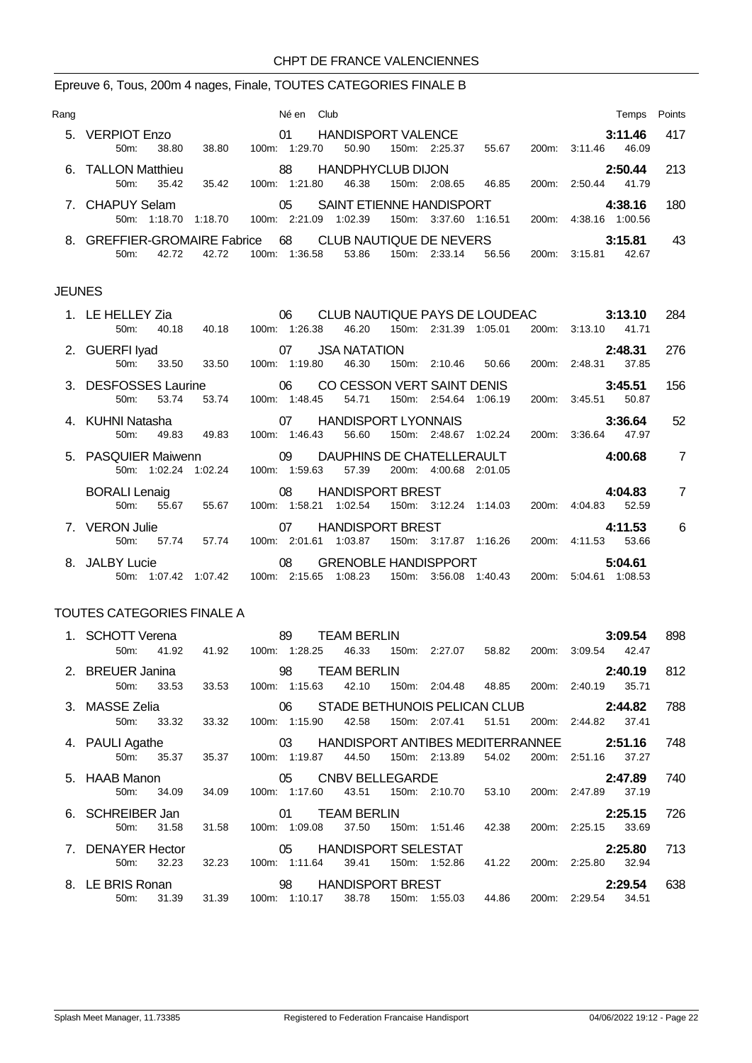### Epreuve 6, Tous, 200m 4 nages, Finale, TOUTES CATEGORIES FINALE B

| Rang |                                  |                  | Né en          | Club                     |       |               |         |       |               | Temps   | Points |
|------|----------------------------------|------------------|----------------|--------------------------|-------|---------------|---------|-------|---------------|---------|--------|
| 5.   | <b>VERPIOT Enzo</b>              |                  | 01             | HANDISPORT VALENCE       |       |               |         |       |               | 3:11.46 | 417    |
|      | 38.80<br>50m                     | 38.80            | $100m$ 1:29.70 | 50.90                    |       | 150m: 2:25.37 | 55.67   |       | 200m: 3:11.46 | 46.09   |        |
|      | 6. TALLON Matthieu               |                  | 88             | <b>HANDPHYCLUB DIJON</b> |       |               |         |       |               | 2:50.44 | 213    |
|      | $50m$ :<br>35.42                 | 35.42<br>100m:   | 1:21.80        | 46.38                    | 150m: | 2:08.65       | 46.85   | 200m: | 2:50.44       | 41.79   |        |
|      | 7. CHAPUY Selam                  |                  | 05             | SAINT ETIENNE HANDISPORT |       |               |         |       |               | 4:38.16 | 180    |
|      | 1:18.70<br>$50m$ :               | 100m:<br>1:18.70 | 2:21.09        | 1:02.39                  | 150m: | 3:37.60       | 1:16.51 | 200m  | 4:38.16       | 1:00.56 |        |
| 8.   | <b>GREFFIER-GROMAIRE Fabrice</b> |                  | 68             | CLUB NAUTIQUE DE NEVERS  |       |               |         |       |               | 3:15.81 | 43     |
|      | $50m$ :<br>42.72                 | 42.72<br>100m:   | 1:36.58        | 53.86                    | 150m: | 2:33.14       | 56.56   | 200m: | 3:15.81       | 42.67   |        |

#### JEUNES

|                | 1. LE HELLEY Zia                                               |              |                                    |                      | 06 CLUB NAUTIQUE PAYS DE LOUDEAC |                              |  |                       |                             |  | 3:13.10                             |         | 284             |
|----------------|----------------------------------------------------------------|--------------|------------------------------------|----------------------|----------------------------------|------------------------------|--|-----------------------|-----------------------------|--|-------------------------------------|---------|-----------------|
|                | 50 <sub>m</sub> :                                              | 40.18        |                                    | 40.18  100m: 1:26.38 |                                  | 46.20                        |  |                       | 150m: 2:31.39 1:05.01       |  | 200m: 3:13.10                       | 41.71   |                 |
|                | 2. GUERFI Iyad                                                 |              |                                    |                      |                                  | 155 USA NATATION             |  |                       |                             |  |                                     | 2:48.31 | 276             |
|                |                                                                |              | 50m: 33.50 33.50                   |                      | 100m: 1:19.80                    | 46.30                        |  |                       |                             |  | 150m: 2:10.46 50.66 200m: 2:48.31   | 37.85   |                 |
|                | 3. DESFOSSES Laurine 600 06 CO CESSON VERT SAINT DENIS 3:45.51 |              |                                    |                      |                                  |                              |  |                       |                             |  |                                     |         | 156             |
|                | $50m$ :                                                        | 53.74        | 53.74                              |                      | 100m: 1:48.45                    | 54.71                        |  |                       | 150m: 2:54.64 1:06.19       |  | 200m: 3:45.51                       | 50.87   |                 |
|                | 07 HANDISPORT LYONNAIS 3:36.64<br>4. KUHNI Natasha             |              |                                    |                      |                                  |                              |  |                       |                             |  | - 52                                |         |                 |
|                | 50m:                                                           | 49.83        | 49.83                              |                      | 100m: 1:46.43                    | 56.60                        |  |                       |                             |  | 150m: 2:48.67 1:02.24 200m: 3:36.64 | 47.97   |                 |
|                | 5. PASQUIER Maiwenn 09 DAUPHINS DE CHATELLERAULT 4:00.68       |              |                                    |                      |                                  |                              |  |                       |                             |  |                                     |         | $\overline{7}$  |
|                |                                                                |              | 50m: 1:02.24 1:02.24 100m: 1:59.63 |                      |                                  | 57.39                        |  | 200m: 4:00.68 2:01.05 |                             |  |                                     |         |                 |
|                | <b>BORALI Lenaig</b>                                           |              |                                    |                      |                                  | 08 HANDISPORT BREST          |  |                       |                             |  | 4:04.83                             |         | $\overline{7}$  |
|                | $50m$ :                                                        | 55.67        | 55.67                              |                      |                                  | 100m: 1:58.21 1:02.54        |  |                       |                             |  | 150m: 3:12.24 1:14.03 200m: 4:04.83 | 52.59   |                 |
| 7. VERON Julie |                                                                |              |                                    |                      |                                  | 07 HANDISPORT BREST          |  |                       |                             |  |                                     | 4:11.53 | $6\overline{6}$ |
|                | $50m$ :                                                        | 57.74        | 57.74                              |                      | 100m: 2:01.61                    | 1:03.87                      |  |                       | 150m: 3:17.87 1:16.26 200m: |  | 4:11.53                             | 53.66   |                 |
|                | 8. JALBY Lucie                                                 |              | $\sim$ 08                          |                      |                                  | GRENOBLE HANDISPPORT 5:04.61 |  |                       |                             |  |                                     |         |                 |
|                |                                                                | 50m: 1:07.42 | 1:07.42  100m: 2:15.65             |                      |                                  | 1:08.23                      |  |                       |                             |  | 150m: 3:56.08 1:40.43 200m: 5:04.61 |         |                 |

### TOUTES CATEGORIES FINALE A

| 1. SCHOTT Verena                                               |       |           |  | 89                     | <b>TEAM BERLIN</b> |  |                                       |             |       |                                         | 3:09.54 | 898 |
|----------------------------------------------------------------|-------|-----------|--|------------------------|--------------------|--|---------------------------------------|-------------|-------|-----------------------------------------|---------|-----|
| 50m:                                                           | 41.92 | 41.92     |  | 100m: 1:28.25          | 46.33              |  | 150m: 2:27.07 58.82                   |             | 200m: | 3:09.54                                 | 42.47   |     |
| 2. BREUER Janina                                               |       |           |  |                        | <b>TEAM BERLIN</b> |  |                                       |             |       |                                         | 2:40.19 | 812 |
| 50 <sub>m</sub>                                                | 33.53 | 33.53     |  | 100m: 1:15.63          | 42.10              |  | 150m: 2:04.48 48.85                   |             |       | 200m: 2:40.19                           | 35.71   |     |
| 3. MASSE Zelia                                                 |       |           |  |                        |                    |  |                                       |             |       | 06 STADE BETHUNOIS PELICAN CLUB 2:44.82 |         |     |
| 50m:                                                           | 33.32 | 33.32     |  | 100m: 1:15.90          | 42.58              |  | 150m: 2:07.41                         | 51.51       | 200m: | 2:44.82                                 | 37.41   |     |
| 03 HANDISPORT ANTIBES MEDITERRANNEE 2:51.16<br>4. PAULI Agathe |       |           |  |                        |                    |  |                                       |             |       | 748                                     |         |     |
| 50m                                                            | 35.37 | 35.37     |  | 100m: 1:19.87          | 44.50              |  | 150m: 2:13.89                         | 54.02       | 200m: | 2:51.16                                 | 37.27   |     |
| 5. HAAB Manon                                                  |       |           |  | 05                     | CNBV BELLEGARDE    |  |                                       |             |       |                                         | 2:47.89 | 740 |
| 50m:                                                           | 34.09 | 34.09     |  | 100m: 1:17.60          | 43.51              |  | 150m: 2:10.70                         | 53.10       | 200m: | 2:47.89                                 | 37.19   |     |
| 6. SCHREIBER Jan                                               |       |           |  | 01                     | <b>TEAM BERLIN</b> |  |                                       |             |       |                                         | 2:25.15 | 726 |
| 50m:                                                           | 31.58 | 31.58     |  | 100m: 1:09.08          | 37.50              |  | 150m: 1:51.46                         | 42.38       | 200m: | 2:25.15                                 | 33.69   |     |
| 7. DENAYER Hector                                              |       |           |  | 05 HANDISPORT SELESTAT |                    |  |                                       |             |       |                                         | 2:25.80 | 713 |
| 50m:                                                           | 32.23 | 32.23     |  | 100m: 1:11.64          | 39.41              |  | 150m: 1:52.86                         | 41.22 200m: |       | 2:25.80                                 | 32.94   |     |
| 8. LE BRIS Ronan                                               |       | $\sim$ 98 |  |                        |                    |  | HANDISPORT BREST FOR THE STATE STATES |             |       |                                         | 2:29.54 | 638 |
| 50m:                                                           | 31.39 | 31.39     |  | 100m: 1:10.17          | 38.78              |  | 150m: 1:55.03                         | 44.86       | 200m: | 2:29.54                                 | 34.51   |     |